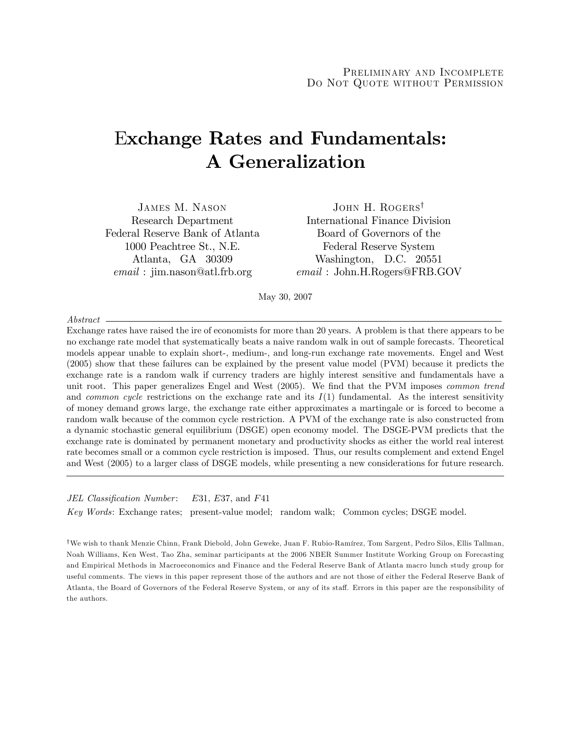# Exchange Rates and Fundamentals: A Generalization

JAMES M. NASON JOHN H. ROGERS<sup>†</sup> Federal Reserve Bank of Atlanta Board of Governors of the

Research Department International Finance Division 1000 Peachtree St., N.E. Federal Reserve System Atlanta, GA 30309 Washington, D.C. 20551 email : jim.nason@atl.frb.org email : John.H.Rogers@FRB.GOV

May 30, 2007

Abstract

Exchange rates have raised the ire of economists for more than 20 years. A problem is that there appears to be no exchange rate model that systematically beats a naive random walk in out of sample forecasts. Theoretical models appear unable to explain short-, medium-, and long-run exchange rate movements. Engel and West (2005) show that these failures can be explained by the present value model (PVM) because it predicts the exchange rate is a random walk if currency traders are highly interest sensitive and fundamentals have a unit root. This paper generalizes Engel and West (2005). We find that the PVM imposes *common trend* and *common cycle* restrictions on the exchange rate and its  $I(1)$  fundamental. As the interest sensitivity of money demand grows large, the exchange rate either approximates a martingale or is forced to become a random walk because of the common cycle restriction. A PVM of the exchange rate is also constructed from a dynamic stochastic general equilibrium (DSGE) open economy model. The DSGE-PVM predicts that the exchange rate is dominated by permanent monetary and productivity shocks as either the world real interest rate becomes small or a common cycle restriction is imposed. Thus, our results complement and extend Engel and West (2005) to a larger class of DSGE models, while presenting a new considerations for future research.

JEL Classification Number: E31, E37, and F41

Key Words: Exchange rates; present-value model; random walk; Common cycles; DSGE model.

<sup>†</sup>We wish to thank Menzie Chinn, Frank Diebold, John Geweke, Juan F. Rubio-Ramírez, Tom Sargent, Pedro Silos, Ellis Tallman, Noah Williams, Ken West, Tao Zha, seminar participants at the 2006 NBER Summer Institute Working Group on Forecasting and Empirical Methods in Macroeconomics and Finance and the Federal Reserve Bank of Atlanta macro lunch study group for useful comments. The views in this paper represent those of the authors and are not those of either the Federal Reserve Bank of Atlanta, the Board of Governors of the Federal Reserve System, or any of its staff. Errors in this paper are the responsibility of the authors.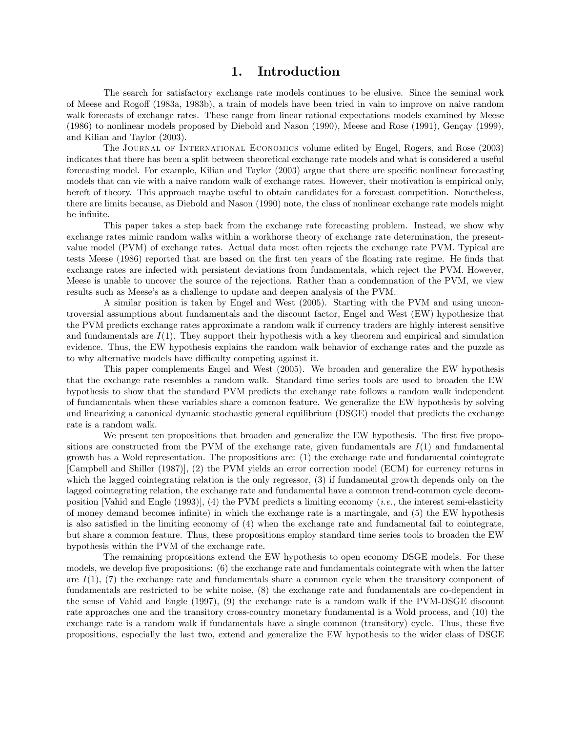### 1. Introduction

The search for satisfactory exchange rate models continues to be elusive. Since the seminal work of Meese and Rogoff (1983a, 1983b), a train of models have been tried in vain to improve on naive random walk forecasts of exchange rates. These range from linear rational expectations models examined by Meese  $(1986)$  to nonlinear models proposed by Diebold and Nason  $(1990)$ , Meese and Rose  $(1991)$ , Gençay  $(1999)$ , and Kilian and Taylor (2003).

The Journal of International Economics volume edited by Engel, Rogers, and Rose (2003) indicates that there has been a split between theoretical exchange rate models and what is considered a useful forecasting model. For example, Kilian and Taylor (2003) argue that there are specific nonlinear forecasting models that can vie with a naive random walk of exchange rates. However, their motivation is empirical only, bereft of theory. This approach maybe useful to obtain candidates for a forecast competition. Nonetheless, there are limits because, as Diebold and Nason (1990) note, the class of nonlinear exchange rate models might be infinite.

This paper takes a step back from the exchange rate forecasting problem. Instead, we show why exchange rates mimic random walks within a workhorse theory of exchange rate determination, the presentvalue model (PVM) of exchange rates. Actual data most often rejects the exchange rate PVM. Typical are tests Meese (1986) reported that are based on the first ten years of the floating rate regime. He finds that exchange rates are infected with persistent deviations from fundamentals, which reject the PVM. However, Meese is unable to uncover the source of the rejections. Rather than a condemnation of the PVM, we view results such as Meeseís as a challenge to update and deepen analysis of the PVM.

A similar position is taken by Engel and West (2005). Starting with the PVM and using uncontroversial assumptions about fundamentals and the discount factor, Engel and West (EW) hypothesize that the PVM predicts exchange rates approximate a random walk if currency traders are highly interest sensitive and fundamentals are  $I(1)$ . They support their hypothesis with a key theorem and empirical and simulation evidence. Thus, the EW hypothesis explains the random walk behavior of exchange rates and the puzzle as to why alternative models have difficulty competing against it.

This paper complements Engel and West (2005). We broaden and generalize the EW hypothesis that the exchange rate resembles a random walk. Standard time series tools are used to broaden the EW hypothesis to show that the standard PVM predicts the exchange rate follows a random walk independent of fundamentals when these variables share a common feature. We generalize the EW hypothesis by solving and linearizing a canonical dynamic stochastic general equilibrium (DSGE) model that predicts the exchange rate is a random walk.

We present ten propositions that broaden and generalize the EW hypothesis. The first five propositions are constructed from the PVM of the exchange rate, given fundamentals are  $I(1)$  and fundamental growth has a Wold representation. The propositions are: (1) the exchange rate and fundamental cointegrate [Campbell and Shiller (1987)], (2) the PVM yields an error correction model (ECM) for currency returns in which the lagged cointegrating relation is the only regressor, (3) if fundamental growth depends only on the lagged cointegrating relation, the exchange rate and fundamental have a common trend-common cycle decomposition [Vahid and Engle (1993)], (4) the PVM predicts a limiting economy (*i.e.*, the interest semi-elasticity of money demand becomes infinite) in which the exchange rate is a martingale, and (5) the EW hypothesis is also satisfied in the limiting economy of  $(4)$  when the exchange rate and fundamental fail to cointegrate, but share a common feature. Thus, these propositions employ standard time series tools to broaden the EW hypothesis within the PVM of the exchange rate.

The remaining propositions extend the EW hypothesis to open economy DSGE models. For these models, we develop five propositions: (6) the exchange rate and fundamentals cointegrate with when the latter are  $I(1)$ , (7) the exchange rate and fundamentals share a common cycle when the transitory component of fundamentals are restricted to be white noise, (8) the exchange rate and fundamentals are co-dependent in the sense of Vahid and Engle (1997), (9) the exchange rate is a random walk if the PVM-DSGE discount rate approaches one and the transitory cross-country monetary fundamental is a Wold process, and (10) the exchange rate is a random walk if fundamentals have a single common (transitory) cycle. Thus, these five propositions, especially the last two, extend and generalize the EW hypothesis to the wider class of DSGE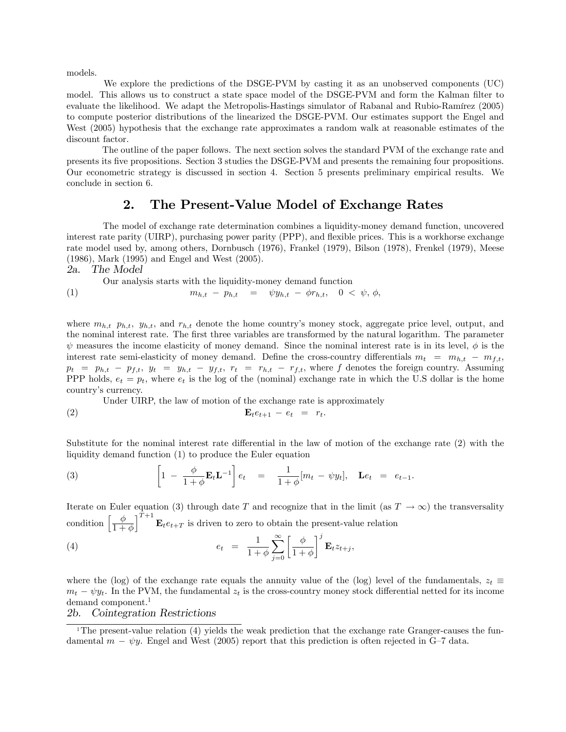models.

We explore the predictions of the DSGE-PVM by casting it as an unobserved components (UC) model. This allows us to construct a state space model of the DSGE-PVM and form the Kalman filter to evaluate the likelihood. We adapt the Metropolis-Hastings simulator of Rabanal and Rubio-Ramírez (2005) to compute posterior distributions of the linearized the DSGE-PVM. Our estimates support the Engel and West (2005) hypothesis that the exchange rate approximates a random walk at reasonable estimates of the discount factor.

The outline of the paper follows. The next section solves the standard PVM of the exchange rate and presents its Öve propositions. Section 3 studies the DSGE-PVM and presents the remaining four propositions. Our econometric strategy is discussed in section 4. Section 5 presents preliminary empirical results. We conclude in section 6.

## 2. The Present-Value Model of Exchange Rates

The model of exchange rate determination combines a liquidity-money demand function, uncovered interest rate parity (UIRP), purchasing power parity (PPP), and flexible prices. This is a workhorse exchange rate model used by, among others, Dornbusch (1976), Frankel (1979), Bilson (1978), Frenkel (1979), Meese (1986), Mark (1995) and Engel and West (2005).

2a. The Model

Our analysis starts with the liquidity-money demand function

(1) 
$$
m_{h,t} - p_{h,t} = \psi y_{h,t} - \phi r_{h,t}, \quad 0 < \psi, \phi,
$$

where  $m_{h,t}$   $p_{h,t}$ ,  $y_{h,t}$ , and  $r_{h,t}$  denote the home country's money stock, aggregate price level, output, and the nominal interest rate. The first three variables are transformed by the natural logarithm. The parameter  $\psi$  measures the income elasticity of money demand. Since the nominal interest rate is in its level,  $\phi$  is the interest rate semi-elasticity of money demand. Define the cross-country differentials  $m_t = m_{h,t} - m_{f,t}$ ,  $p_t = p_{h,t} - p_{f,t}, y_t = y_{h,t} - y_{f,t}, r_t = r_{h,t} - r_{f,t}$ , where f denotes the foreign country. Assuming PPP holds,  $e_t = p_t$ , where  $e_t$  is the log of the (nominal) exchange rate in which the U.S dollar is the home country's currency.

Under UIRP, the law of motion of the exchange rate is approximately (2)  $\mathbf{E}_t e_{t+1} - e_t = r_t$ .

Substitute for the nominal interest rate differential in the law of motion of the exchange rate  $(2)$  with the liquidity demand function (1) to produce the Euler equation

(3) 
$$
\left[1 - \frac{\phi}{1 + \phi} \mathbf{E}_t \mathbf{L}^{-1}\right] e_t = \frac{1}{1 + \phi} [m_t - \psi y_t], \quad \mathbf{L} e_t = e_{t-1}.
$$

Iterate on Euler equation (3) through date T and recognize that in the limit (as  $T \to \infty$ ) the transversality condition  $\begin{bmatrix} \phi \\ \frac{1}{1} \end{bmatrix}$  $1+\phi$  $\int_{0}^{T+1} \mathbf{E}_{t} e_{t+T}$  is driven to zero to obtain the present-value relation

(4) 
$$
e_t = \frac{1}{1+\phi} \sum_{j=0}^{\infty} \left[ \frac{\phi}{1+\phi} \right]^j \mathbf{E}_t z_{t+j},
$$

where the (log) of the exchange rate equals the annuity value of the (log) level of the fundamentals,  $z_t \equiv$  $m_t - \psi y_t$ . In the PVM, the fundamental  $z_t$  is the cross-country money stock differential netted for its income demand component.<sup>1</sup>

#### 2b. Cointegration Restrictions

<sup>&</sup>lt;sup>1</sup>The present-value relation (4) yields the weak prediction that the exchange rate Granger-causes the fundamental  $m - \psi y$ . Engel and West (2005) report that this prediction is often rejected in G-7 data.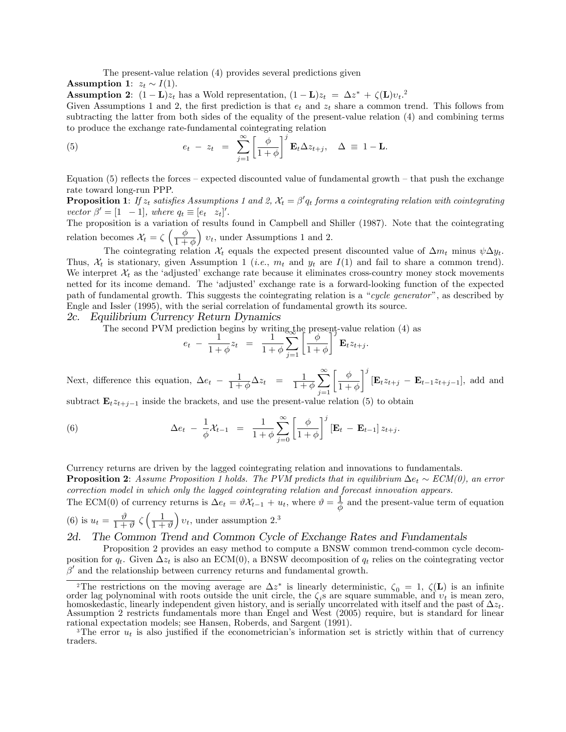The present-value relation (4) provides several predictions given

**Assumption 1:**  $z_t \sim I(1)$ .

**Assumption 2:**  $(1 - L)z_t$  has a Wold representation,  $(1 - L)z_t = \Delta z^* + \zeta(L)v_t$ <sup>2</sup>

Given Assumptions 1 and 2, the first prediction is that  $e_t$  and  $z_t$  share a common trend. This follows from subtracting the latter from both sides of the equality of the present-value relation (4) and combining terms to produce the exchange rate-fundamental cointegrating relation

(5) 
$$
e_t - z_t = \sum_{j=1}^{\infty} \left[ \frac{\phi}{1+\phi} \right]^j \mathbf{E}_t \Delta z_{t+j}, \quad \Delta \equiv 1 - \mathbf{L}.
$$

Equation (5) reflects the forces – expected discounted value of fundamental growth – that push the exchange rate toward long-run PPP.

**Proposition 1**: If  $z_t$  satisfies Assumptions 1 and 2,  $\mathcal{X}_t = \beta' q_t$  forms a cointegrating relation with cointegrating vector  $\beta' = [1 \ -1]$ , where  $q_t \equiv [e_t \ z_t]'$ .

The proposition is a variation of results found in Campbell and Shiller (1987). Note that the cointegrating relation becomes  $\mathcal{X}_t = \zeta \left( \frac{\phi}{1 + \phi} \right)$  $1+\phi$  $\left( v_t, \right)$  under Assumptions 1 and 2.

The cointegrating relation  $\mathcal{X}_t$  equals the expected present discounted value of  $\Delta m_t$  minus  $\psi \Delta y_t$ . Thus,  $\mathcal{X}_t$  is stationary, given Assumption 1 (*i.e.*,  $m_t$  and  $y_t$  are  $I(1)$  and fail to share a common trend). We interpret  $\mathcal{X}_t$  as the 'adjusted' exchange rate because it eliminates cross-country money stock movements netted for its income demand. The 'adjusted' exchange rate is a forward-looking function of the expected path of fundamental growth. This suggests the cointegrating relation is a "cycle generator", as described by Engle and Issler (1995), with the serial correlation of fundamental growth its source.

2c. Equilibrium Currency Return Dynamics

The second PVM prediction begins by writing the present-value relation (4) as

$$
e_t - \frac{1}{1+\phi}z_t = \frac{1}{1+\phi}\sum_{j=1}^{\infty} \left[\frac{\phi}{1+\phi}\right]^j \mathbf{E}_t z_{t+j}.
$$

Next, difference this equation,  $\Delta e_t - \frac{1}{1+h}$  $\frac{1}{1+\phi}\Delta z_t = \frac{1}{1+t}$  $1+\phi$  $\sum_{i=1}^{\infty}$  $j=1$  $\lceil \phi \rceil$  $1+\phi$  $\mathcal{I}^j$  $[\mathbf{E}_t z_{t+j} - \mathbf{E}_{t-1} z_{t+j-1}],$  add and

subtract  $\mathbf{E}_t z_{t+j-1}$  inside the brackets, and use the present-value relation (5) to obtain

(6) 
$$
\Delta e_t - \frac{1}{\phi} \mathcal{X}_{t-1} = \frac{1}{1+\phi} \sum_{j=0}^{\infty} \left[ \frac{\phi}{1+\phi} \right]^j \left[ \mathbf{E}_t - \mathbf{E}_{t-1} \right] z_{t+j}.
$$

Currency returns are driven by the lagged cointegrating relation and innovations to fundamentals.

**Proposition 2:** Assume Proposition 1 holds. The PVM predicts that in equilibrium  $\Delta e_t \sim ECM(0)$ , an error correction model in which only the lagged cointegrating relation and forecast innovation appears.

The ECM(0) of currency returns is  $\Delta e_t = \vartheta \mathcal{X}_{t-1} + u_t$ , where  $\vartheta = \frac{1}{\phi}$  $\frac{1}{\phi}$  and the present-value term of equation

(6) is  $u_t = \frac{\vartheta}{1 + \pi}$  $\frac{\vartheta}{1+\vartheta} \zeta \left( \frac{1}{1+\right.$  $1+\vartheta$  $\left(v_t, \text{ under assumption } 2^3\right)$ 

#### 2d. The Common Trend and Common Cycle of Exchange Rates and Fundamentals

Proposition 2 provides an easy method to compute a BNSW common trend-common cycle decomposition for  $q_t$ . Given  $\Delta z_t$  is also an ECM(0), a BNSW decomposition of  $q_t$  relies on the cointegrating vector  $\beta'$  and the relationship between currency returns and fundamental growth.

<sup>&</sup>lt;sup>2</sup>The restrictions on the moving average are  $\Delta z^*$  is linearly deterministic,  $\zeta_0 = 1$ ,  $\zeta(\mathbf{L})$  is an infinite order lag polynominal with roots outside the unit circle, the  $\zeta_i$ s are square summable, and  $v_t$  is mean zero, homoskedastic, linearly independent given history, and is serially uncorrelated with itself and the past of  $\Delta z_t$ . Assumption 2 restricts fundamentals more than Engel and West (2005) require, but is standard for linear rational expectation models; see Hansen, Roberds, and Sargent (1991).

<sup>&</sup>lt;sup>3</sup>The error  $u_t$  is also justified if the econometrician's information set is strictly within that of currency traders.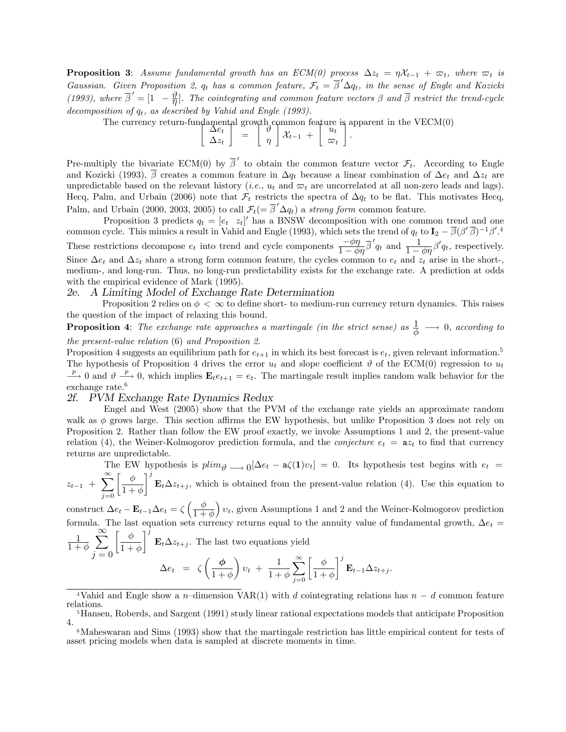**Proposition 3:** Assume fundamental growth has an  $ECM(0)$  process  $\Delta z_t = \eta \mathcal{X}_{t-1} + \varpi_t$ , where  $\varpi_t$  is Gaussian. Given Proposition 2,  $q_t$  has a common feature,  $\mathcal{F}_t = \overline{\beta}' \Delta q_t$ , in the sense of Engle and Kozicki (1993), where  $\overline{\beta}' = [1 - \frac{\vartheta}{\eta}]$ . The cointegrating and common feature vectors  $\beta$  and  $\overline{\beta}$  restrict the trend-cycle decomposition of  $q_t$ , as described by Vahid and Engle (1993).

The currency return-fundamental growth common feature is apparent in the VECM(0)

Pre-multiply the bivariate ECM(0) by  $\overline{\beta}'$  to obtain the common feature vector  $\mathcal{F}_t$ . According to Engle and Kozicki (1993),  $\overline{\beta}$  creates a common feature in  $\Delta q_t$  because a linear combination of  $\Delta e_t$  and  $\Delta z_t$  are unpredictable based on the relevant history (*i.e.*,  $u_t$  and  $\varpi_t$  are uncorrelated at all non-zero leads and lags). Hecq, Palm, and Urbain (2006) note that  $\mathcal{F}_t$  restricts the spectra of  $\Delta q_t$  to be flat. This motivates Hecq, Palm, and Urbain (2000, 2003, 2005) to call  $\mathcal{F}_t$  (=  $\overline{\beta}' \Delta q_t$ ) a strong form common feature.

Proposition 3 predicts  $q_t = [e_t \ z_t]'$  has a BNSW decomposition with one common trend and one common cycle. This mimics a result in Vahid and Engle (1993), which sets the trend of  $q_t$  to  $I_2 - \overline{\beta}(\beta'\overline{\beta})^{-1}\beta'$ .<sup>4</sup> These restrictions decompose  $e_t$  into trend and cycle components  $\frac{-\phi\eta}{1-\phi\eta}\overline{\beta}'q_t$  and  $\frac{1}{1-\phi\eta}\beta'q_t$ , respectively. Since  $\Delta e_t$  and  $\Delta z_t$  share a strong form common feature, the cycles common to  $e_t$  and  $z_t$  arise in the short-, medium-, and long-run. Thus, no long-run predictability exists for the exchange rate. A prediction at odds with the empirical evidence of Mark (1995).

#### 2e. A Limiting Model of Exchange Rate Determination

Proposition 2 relies on  $\phi < \infty$  to define short- to medium-run currency return dynamics. This raises the question of the impact of relaxing this bound.

**Proposition 4**: The exchange rate approaches a martingale (in the strict sense) as  $\frac{1}{\phi} \longrightarrow 0$ , according to the present-value relation (6) and Proposition 2.

Proposition 4 suggests an equilibrium path for  $e_{t+1}$  in which its best forecast is  $e_t$ , given relevant information.<sup>5</sup> The hypothesis of Proposition 4 drives the error  $u_t$  and slope coefficient  $\vartheta$  of the ECM(0) regression to  $u_t$  $\frac{p}{p}$  0 and  $\vartheta \stackrel{p}{\longrightarrow} 0$ , which implies  $\mathbf{E}_t e_{t+1} = e_t$ . The martingale result implies random walk behavior for the exchange rate.<sup>6</sup>

#### 2f. PVM Exchange Rate Dynamics Redux

Engel and West (2005) show that the PVM of the exchange rate yields an approximate random walk as  $\phi$  grows large. This section affirms the EW hypothesis, but unlike Proposition 3 does not rely on Proposition 2. Rather than follow the EW proof exactly, we invoke Assumptions 1 and 2, the present-value relation (4), the Weiner-Kolmogorov prediction formula, and the *conjecture*  $e_t = a z_t$  to find that currency returns are unpredictable.

The EW hypothesis is  $plim_{\theta} \longrightarrow 0$   $[\Delta e_t - a\zeta(1)v_t] = 0$ . Its hypothesis test begins with  $e_t = \sum_{i=1}^{\infty} a_i$  $z_{t-1} + \sum_{i=1}^{\infty}$  $j=0$  $\int \phi$  $1 + \phi$  $1^j$  $\mathbf{E}_t \Delta z_{t+j}$ , which is obtained from the present-value relation (4). Use this equation to

construct  $\Delta e_t - \mathbf{E}_{t-1} \Delta e_t = \zeta \left( \frac{\phi}{1+\phi} \right)$  $\overline{1 + \phi}$  $\left(v_t, g$ iven Assumptions 1 and 2 and the Weiner-Kolmogorov prediction formula. The last equation sets currency returns equal to the annuity value of fundamental growth,  $\Delta e_t$ 

$$
\frac{1}{1+\phi} \sum_{j=0}^{\infty} \left[ \frac{\phi}{1+\phi} \right]^j \mathbf{E}_t \Delta z_{t+j}.
$$
 The last two equations yield  

$$
\Delta e_t = \zeta \left( \frac{\phi}{1+\phi} \right) v_t + \frac{1}{1+\phi} \sum_{j=0}^{\infty} \left[ \frac{\phi}{1+\phi} \right]^j \mathbf{E}_{t-1} \Delta z_{t+j}.
$$

<sup>&</sup>lt;sup>4</sup>Vahid and Engle show a n-dimension VAR(1) with d cointegrating relations has  $n - d$  common feature relations.

<sup>5</sup>Hansen, Roberds, and Sargent (1991) study linear rational expectations models that anticipate Proposition 4.

<sup>6</sup>Maheswaran and Sims (1993) show that the martingale restriction has little empirical content for tests of asset pricing models when data is sampled at discrete moments in time.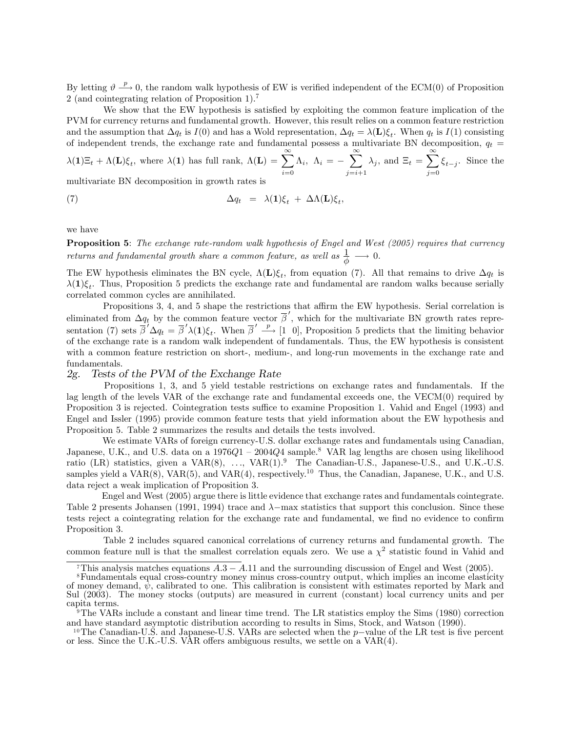By letting  $\vartheta \stackrel{p}{\longrightarrow} 0$ , the random walk hypothesis of EW is verified independent of the ECM(0) of Proposition 2 (and cointegrating relation of Proposition 1).<sup>7</sup>

We show that the EW hypothesis is satisfied by exploiting the common feature implication of the PVM for currency returns and fundamental growth. However, this result relies on a common feature restriction and the assumption that  $\Delta q_t$  is  $I(0)$  and has a Wold representation,  $\Delta q_t = \lambda(\mathbf{L})\xi_t$ . When  $q_t$  is  $I(1)$  consisting of independent trends, the exchange rate and fundamental possess a multivariate BN decomposition,  $q_t$  =

$$
\lambda(\mathbf{1})\Xi_t + \Lambda(\mathbf{L})\xi_t, \text{ where } \lambda(\mathbf{1}) \text{ has full rank, } \Lambda(\mathbf{L}) = \sum_{i=0}^{\infty} \Lambda_i, \ \Lambda_i = -\sum_{j=i+1}^{\infty} \lambda_j, \text{ and } \Xi_t = \sum_{j=0}^{\infty} \xi_{t-j}. \text{ Since the}
$$

multivariate BN decomposition in growth rates is

(7) 
$$
\Delta q_t = \lambda(\mathbf{1})\xi_t + \Delta\Lambda(\mathbf{L})\xi_t,
$$

we have

Proposition 5: The exchange rate-random walk hypothesis of Engel and West (2005) requires that currency returns and fundamental growth share a common feature, as well as  $\frac{1}{\phi} \longrightarrow 0$ .

The EW hypothesis eliminates the BN cycle,  $\Lambda(L)\xi_t$ , from equation (7). All that remains to drive  $\Delta q_t$  is  $\lambda(1)\xi_t$ . Thus, Proposition 5 predicts the exchange rate and fundamental are random walks because serially correlated common cycles are annihilated.

Propositions 3, 4, and 5 shape the restrictions that affirm the EW hypothesis. Serial correlation is eliminated from  $\Delta q_t$  by the common feature vector  $\overline{\beta}'$ , which for the multivariate BN growth rates representation (7) sets  $\overline{\beta}' \Delta q_t = \overline{\beta}' \lambda(1) \xi_t$ . When  $\overline{\beta}' \stackrel{p}{\longrightarrow} [1\ 0]$ , Proposition 5 predicts that the limiting behavior of the exchange rate is a random walk independent of fundamentals. Thus, the EW hypothesis is consistent with a common feature restriction on short-, medium-, and long-run movements in the exchange rate and fundamentals.

#### 2g. Tests of the PVM of the Exchange Rate

Propositions 1, 3, and 5 yield testable restrictions on exchange rates and fundamentals. If the lag length of the levels VAR of the exchange rate and fundamental exceeds one, the VECM(0) required by Proposition 3 is rejected. Cointegration tests suffice to examine Proposition 1. Vahid and Engel (1993) and Engel and Issler (1995) provide common feature tests that yield information about the EW hypothesis and Proposition 5. Table 2 summarizes the results and details the tests involved.

We estimate VARs of foreign currency-U.S. dollar exchange rates and fundamentals using Canadian, Japanese, U.K., and U.S. data on a 1976 $Q1 - 2004Q4$  sample.<sup>8</sup> VAR lag lengths are chosen using likelihood ratio (LR) statistics, given a  $VAR(8)$ , ...,  $VAR(1).<sup>9</sup>$  The Canadian-U.S., Japanese-U.S., and U.K.-U.S. samples yield a  $VAR(8)$ ,  $VAR(5)$ , and  $VAR(4)$ , respectively.<sup>10</sup> Thus, the Canadian, Japanese, U.K., and U.S. data reject a weak implication of Proposition 3.

Engel and West (2005) argue there is little evidence that exchange rates and fundamentals cointegrate. Table 2 presents Johansen (1991, 1994) trace and  $\lambda$ -max statistics that support this conclusion. Since these tests reject a cointegrating relation for the exchange rate and fundamental, we find no evidence to confirm Proposition 3.

Table 2 includes squared canonical correlations of currency returns and fundamental growth. The common feature null is that the smallest correlation equals zero. We use a  $\chi^2$  statistic found in Vahid and

<sup>&</sup>lt;sup>7</sup>This analysis matches equations  $A.3 - A.11$  and the surrounding discussion of Engel and West (2005).

<sup>8</sup>Fundamentals equal cross-country money minus cross-country output, which implies an income elasticity of money demand,  $\dot{\psi}$ , calibrated to one. This calibration is consistent with estimates reported by Mark and Sul (2003). The money stocks (outputs) are measured in current (constant) local currency units and per capita terms.

<sup>9</sup>The VARs include a constant and linear time trend. The LR statistics employ the Sims (1980) correction and have standard asymptotic distribution according to results in Sims, Stock, and Watson (1990).

<sup>&</sup>lt;sup>10</sup>The Canadian-U.S. and Japanese-U.S. VARs are selected when the  $p$ -value of the LR test is five percent or less. Since the U.K.-U.S. VAR offers ambiguous results, we settle on a  $VAR(4)$ .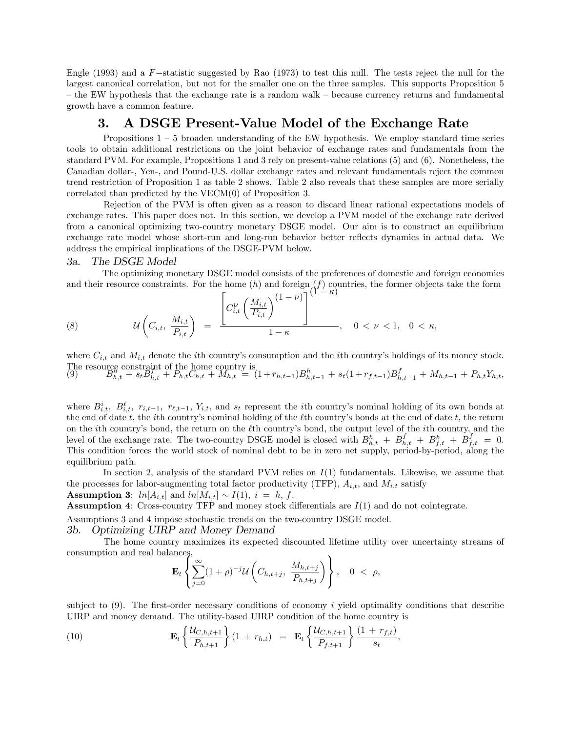Engle (1993) and a  $F$ -statistic suggested by Rao (1973) to test this null. The tests reject the null for the largest canonical correlation, but not for the smaller one on the three samples. This supports Proposition 5 – the EW hypothesis that the exchange rate is a random walk – because currency returns and fundamental growth have a common feature.

### 3. A DSGE Present-Value Model of the Exchange Rate

Propositions  $1 - 5$  broaden understanding of the EW hypothesis. We employ standard time series tools to obtain additional restrictions on the joint behavior of exchange rates and fundamentals from the standard PVM. For example, Propositions 1 and 3 rely on present-value relations (5) and (6). Nonetheless, the Canadian dollar-, Yen-, and Pound-U.S. dollar exchange rates and relevant fundamentals reject the common trend restriction of Proposition 1 as table 2 shows. Table 2 also reveals that these samples are more serially correlated than predicted by the VECM(0) of Proposition 3.

Rejection of the PVM is often given as a reason to discard linear rational expectations models of exchange rates. This paper does not. In this section, we develop a PVM model of the exchange rate derived from a canonical optimizing two-country monetary DSGE model. Our aim is to construct an equilibrium exchange rate model whose short-run and long-run behavior better reflects dynamics in actual data. We address the empirical implications of the DSGE-PVM below.

#### 3a. The DSGE Model

The optimizing monetary DSGE model consists of the preferences of domestic and foreign economies and their resource constraints. For the home  $(h)$  and foreign  $(f)$  countries, the former objects take the form

(8) 
$$
u\left(C_{i,t}, \frac{M_{i,t}}{P_{i,t}}\right) = \frac{\left[C_{i,t}^{V}\left(\frac{M_{i,t}}{P_{i,t}}\right)^{(1-\nu)}\right]^{(1-\kappa)}}{1-\kappa}, \quad 0 < \nu < 1, \quad 0 < \kappa,
$$

where  $C_{i,t}$  and  $M_{i,t}$  denote the *i*th country's consumption and the *i*th country's holdings of its money stock. The resource constraint of the home country is (9)  $B_{h,t}^{k} + s_t B_{h,t}^{k+1} + P_{h,t} C_{h,t} + M_{h,t} = (1 + r_{h,t-1}) B_{h,t-1}^{k} + s_t (1 + r_{f,t-1}) B_{h,t-1}^{f} + M_{h,t-1} + P_{h,t} Y_{h,t}$ 

where  $B_{i,t}^i$ ,  $B_{i,t}^{\ell}$ ,  $r_{i,t-1}$ ,  $r_{\ell,t-1}$ ,  $Y_{i,t}$ , and  $s_t$  represent the *i*th country's nominal holding of its own bonds at the end of date t, the ith country's nominal holding of the  $\ell$ th country's bonds at the end of date t, the return on the *i*th country's bond, the return on the  $\ell$ th country's bond, the output level of the *i*th country, and the level of the exchange rate. The two-country DSGE model is closed with  $B_{h,t}^h + B_{h,t}^f + B_{f,t}^f + B_{f,t}^f = 0$ . This condition forces the world stock of nominal debt to be in zero net supply, period-by-period, along the equilibrium path.

In section 2, analysis of the standard PVM relies on  $I(1)$  fundamentals. Likewise, we assume that the processes for labor-augmenting total factor productivity (TFP),  $A_{i,t}$ , and  $M_{i,t}$  satisfy

**Assumption 3:**  $ln[A_{i,t}]$  and  $ln[M_{i,t}] \sim I(1), i = h, f$ .

**Assumption 4:** Cross-country TFP and money stock differentials are  $I(1)$  and do not cointegrate.

Assumptions 3 and 4 impose stochastic trends on the two-country DSGE model.

#### 3b. Optimizing UIRP and Money Demand

The home country maximizes its expected discounted lifetime utility over uncertainty streams of consumption and real balances,  $\mathbf{A}$ 

$$
\mathbf{E}_t\left\{\sum_{j=0}^{\infty}(1+\rho)^{-j}\mathcal{U}\left(C_{h,t+j},\ \frac{M_{h,t+j}}{P_{h,t+j}}\right)\right\},\quad 0\ <\ \rho,
$$

subject to  $(9)$ . The first-order necessary conditions of economy i yield optimality conditions that describe UIRP and money demand. The utility-based UIRP condition of the home country is

(10) 
$$
\mathbf{E}_{t} \left\{ \frac{\mathcal{U}_{C,h,t+1}}{P_{h,t+1}} \right\} (1 + r_{h,t}) = \mathbf{E}_{t} \left\{ \frac{\mathcal{U}_{C,h,t+1}}{P_{f,t+1}} \right\} \frac{(1 + r_{f,t})}{s_{t}},
$$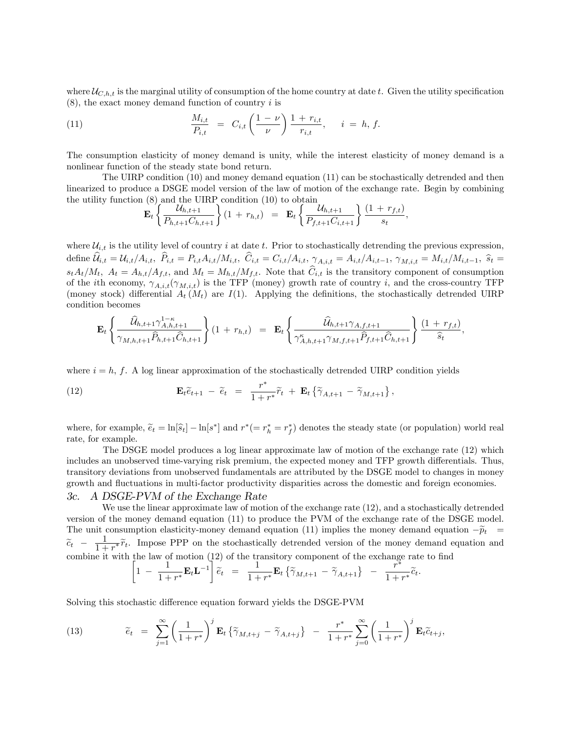where  $U_{C,h,t}$  is the marginal utility of consumption of the home country at date t. Given the utility specification  $(8)$ , the exact money demand function of country i is

(11) 
$$
\frac{M_{i,t}}{P_{i,t}} = C_{i,t} \left( \frac{1-\nu}{\nu} \right) \frac{1+r_{i,t}}{r_{i,t}}, \quad i = h, f.
$$

The consumption elasticity of money demand is unity, while the interest elasticity of money demand is a nonlinear function of the steady state bond return.

The UIRP condition (10) and money demand equation (11) can be stochastically detrended and then linearized to produce a DSGE model version of the law of motion of the exchange rate. Begin by combining the utility function (8) and the UIRP condition (10) to obtain

$$
\mathbf{E}_{t}\left\{\frac{\mathcal{U}_{h,t+1}}{P_{h,t+1}C_{h,t+1}}\right\}(1 + r_{h,t}) = \mathbf{E}_{t}\left\{\frac{\mathcal{U}_{h,t+1}}{P_{f,t+1}C_{i,t+1}}\right\}\frac{(1 + r_{f,t})}{s_{t}},
$$

where  $\mathcal{U}_{i,t}$  is the utility level of country i at date t. Prior to stochastically detrending the previous expression,  $\text{define } \widehat{\mathcal{U}}_{i,t} = \mathcal{U}_{i,t} / A_{i,t}, \ \widehat{P}_{i,t} = P_{i,t} A_{i,t} / M_{i,t}, \ \widehat{C}_{i,t} = C_{i,t} / A_{i,t}, \ \gamma_{A,i,t} = A_{i,t} / A_{i,t-1}, \ \gamma_{M,i,t} = M_{i,t} / M_{i,t-1}, \ \widehat{s}_t = \mathcal{U}_{i,t} / A_{i,t}$  $s_t A_t/M_t$ ,  $A_t = A_{h,t}/A_{f,t}$ , and  $M_t = M_{h,t}/M_{f,t}$ . Note that  $\hat{C}_{i,t}$  is the transitory component of consumption of the *i*th economy,  $\gamma_{A,i,t}(\gamma_{M,i,t})$  is the TFP (money) growth rate of country *i*, and the cross-country TFP (money stock) differential  $A_t(M_t)$  are  $I(1)$ . Applying the definitions, the stochastically detrended UIRP condition becomes

$$
\mathbf{E}_{t}\left\{\frac{\widehat{\mathcal{U}}_{h,t+1}\gamma_{A,h,t+1}^{1-\kappa}}{\gamma_{M,h,t+1}\widehat{P}_{h,t+1}\widehat{C}_{h,t+1}}\right\}(1+r_{h,t}) = \mathbf{E}_{t}\left\{\frac{\widehat{\mathcal{U}}_{h,t+1}\gamma_{A,f,t+1}}{\gamma_{A,h,t+1}^{\kappa}\gamma_{M,f,t+1}\widehat{P}_{f,t+1}\widehat{C}_{h,t+1}}\right\}\frac{(1+r_{f,t})}{\widehat{s}_{t}},
$$

where  $i = h, f$ . A log linear approximation of the stochastically detrended UIRP condition yields

(12) 
$$
\mathbf{E}_t \widetilde{e}_{t+1} - \widetilde{e}_t = \frac{r^*}{1 + r^*} \widetilde{r}_t + \mathbf{E}_t \left\{ \widetilde{\gamma}_{A,t+1} - \widetilde{\gamma}_{M,t+1} \right\},
$$

where, for example,  $\tilde{e}_t = \ln[\hat{s}_t] - \ln[s^*]$  and  $r^* (= r_h^* = r_f^*)$  denotes the steady state (or population) world real rate, for example.

The DSGE model produces a log linear approximate law of motion of the exchange rate (12) which includes an unobserved time-varying risk premium, the expected money and TFP growth differentials. Thus, transitory deviations from unobserved fundamentals are attributed by the DSGE model to changes in money growth and fluctuations in multi-factor productivity disparities across the domestic and foreign economies.

#### 3c. A DSGE-PVM of the Exchange Rate

We use the linear approximate law of motion of the exchange rate (12), and a stochastically detrended version of the money demand equation (11) to produce the PVM of the exchange rate of the DSGE model. The unit consumption elasticity-money demand equation (11) implies the money demand equation  $-\tilde{p}_t$  =  $\widetilde{c}_t$  –  $\frac{1}{1+}$  $\frac{1}{1+r^*}\tilde{r}_t$ . Impose PPP on the stochastically detrended version of the money demand equation and combine it with the law of motion (12) of the transitory component of the exchange rate to find

$$
\left[1-\frac{1}{1+r^*}\mathbf{E}_t\mathbf{L}^{-1}\right]\tilde{e}_t = \frac{1}{1+r^*}\mathbf{E}_t\left\{\tilde{\gamma}_{M,t+1}-\tilde{\gamma}_{A,t+1}\right\} - \frac{r^*}{1+r^*}\tilde{c}_t.
$$

Solving this stochastic difference equation forward yields the DSGE-PVM

(13) 
$$
\widetilde{e}_t = \sum_{j=1}^{\infty} \left( \frac{1}{1+r^*} \right)^j \mathbf{E}_t \left\{ \widetilde{\gamma}_{M,t+j} - \widetilde{\gamma}_{A,t+j} \right\} - \frac{r^*}{1+r^*} \sum_{j=0}^{\infty} \left( \frac{1}{1+r^*} \right)^j \mathbf{E}_t \widetilde{c}_{t+j},
$$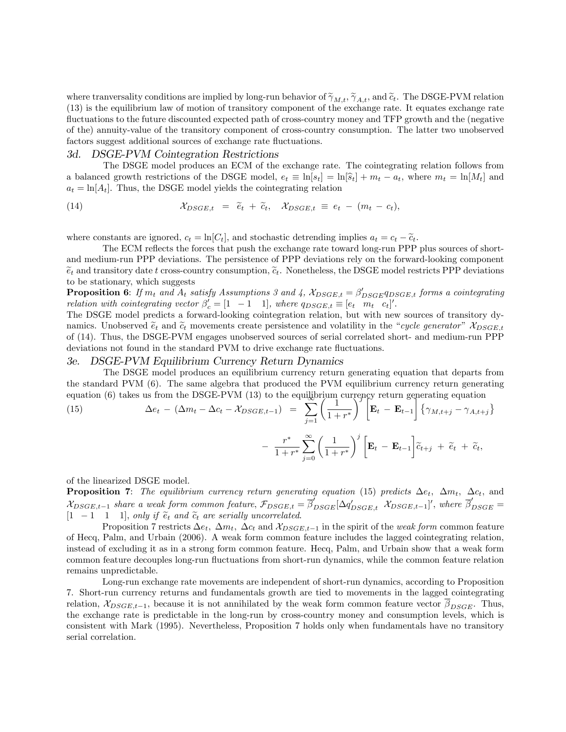where tranversality conditions are implied by long-run behavior of  $\tilde{\gamma}_{M,t}$ ,  $\tilde{\gamma}_{A,t}$ , and  $\tilde{c}_t$ . The DSGE-PVM relation (13) is the equilibrium law of motion of transitory component of the exchange rate. It equates exchange rate fluctuations to the future discounted expected path of cross-country money and TFP growth and the (negative of the) annuity-value of the transitory component of cross-country consumption. The latter two unobserved factors suggest additional sources of exchange rate fluctuations.

#### 3d. DSGE-PVM Cointegration Restrictions

The DSGE model produces an ECM of the exchange rate. The cointegrating relation follows from a balanced growth restrictions of the DSGE model,  $e_t \equiv \ln[s_t] = \ln[\hat{s}_t] + m_t - a_t$ , where  $m_t = \ln[M_t]$  and  $a_t = \ln[A_t]$ . Thus, the DSGE model yields the cointegrating relation

(14) 
$$
\mathcal{X}_{DSGE,t} = \tilde{e}_t + \tilde{c}_t, \quad \mathcal{X}_{DSGE,t} \equiv e_t - (m_t - c_t),
$$

where constants are ignored,  $c_t = \ln[C_t]$ , and stochastic detrending implies  $a_t = c_t - \tilde{c}_t$ .

The ECM reflects the forces that push the exchange rate toward long-run PPP plus sources of shortand medium-run PPP deviations. The persistence of PPP deviations rely on the forward-looking component  $\tilde{e}_t$  and transitory date t cross-country consumption,  $\tilde{e}_t$ . Nonetheless, the DSGE model restricts PPP deviations to be stationary, which suggests

**Proposition 6**: If  $m_t$  and  $A_t$  satisfy Assumptions 3 and 4,  $\chi_{DSGE,t} = \beta'_{DSGE} q_{DSGE,t}$  forms a cointegrating relation with cointegrating vector  $\beta'_c = [1 \ -1 \ 1]$ , where  $q_{DSGE,t} \equiv [e_t \ m_t \ c_t]'$ .

The DSGE model predicts a forward-looking cointegration relation, but with new sources of transitory dynamics. Unobserved  $\tilde{e}_t$  and  $\tilde{c}_t$  movements create persistence and volatility in the "cycle generator"  $\mathcal{X}_{DSGE,t}$ of (14). Thus, the DSGE-PVM engages unobserved sources of serial correlated short- and medium-run PPP deviations not found in the standard PVM to drive exchange rate fluctuations.

#### 3e. DSGE-PVM Equilibrium Currency Return Dynamics

The DSGE model produces an equilibrium currency return generating equation that departs from the standard PVM (6). The same algebra that produced the PVM equilibrium currency return generating equation (6) takes us from the DSGE-PVM (13) to the equilibrium currency return generating equation

(15) 
$$
\Delta e_t - (\Delta m_t - \Delta c_t - \mathcal{X}_{DSGE,t-1}) = \sum_{j=1}^{+\infty} \left(\frac{1}{1+r^*}\right)^j \left[\mathbf{E}_t - \mathbf{E}_{t-1}\right] \left\{\gamma_{M,t+j} - \gamma_{A,t+j}\right\}
$$

$$
- \frac{r^*}{1+r^*} \sum_{j=0}^{\infty} \left(\frac{1}{1+r^*}\right)^j \left[\mathbf{E}_t - \mathbf{E}_{t-1}\right] \tilde{c}_{t+j} + \tilde{e}_t + \tilde{c}_t,
$$

of the linearized DSGE model.

**Proposition 7:** The equilibrium currency return generating equation (15) predicts  $\Delta e_t$ ,  $\Delta m_t$ ,  $\Delta c_t$ , and  $\chi_{DSGE,t-1}$  share a weak form common feature,  $\mathcal{F}_{DSGE,t} = \overline{\beta}_{DSGE}' \left[ \Delta q'_{DSGE,t} \right.$   $\chi_{DSGE,t-1}'$ , where  $\overline{\beta}'_{DSGE} =$  $[1 \ -1 \ 1]$ , only if  $\tilde{e}_t$  and  $\tilde{e}_t$  are serially uncorrelated.

Proposition 7 restricts  $\Delta e_t$ ,  $\Delta m_t$ ,  $\Delta c_t$  and  $\mathcal{X}_{DSGE,t-1}$  in the spirit of the weak form common feature of Hecq, Palm, and Urbain (2006). A weak form common feature includes the lagged cointegrating relation, instead of excluding it as in a strong form common feature. Hecq, Palm, and Urbain show that a weak form common feature decouples long-run áuctuations from short-run dynamics, while the common feature relation remains unpredictable.

Long-run exchange rate movements are independent of short-run dynamics, according to Proposition 7. Short-run currency returns and fundamentals growth are tied to movements in the lagged cointegrating relation,  $\mathcal{X}_{DSGE,t-1}$ , because it is not annihilated by the weak form common feature vector  $\overline{\beta}_{DSGE}$ . Thus, the exchange rate is predictable in the long-run by cross-country money and consumption levels, which is consistent with Mark (1995). Nevertheless, Proposition 7 holds only when fundamentals have no transitory serial correlation.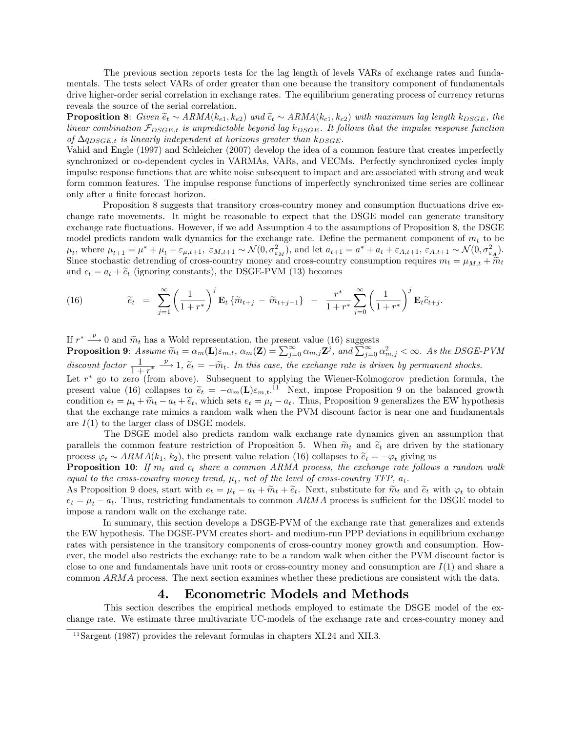The previous section reports tests for the lag length of levels VARs of exchange rates and fundamentals. The tests select VARs of order greater than one because the transitory component of fundamentals drive higher-order serial correlation in exchange rates. The equilibrium generating process of currency returns reveals the source of the serial correlation.

**Proposition 8:** Given  $\tilde{e}_t \sim ARMA(k_{e1}, k_{e2})$  and  $\tilde{c}_t \sim ARMA(k_{c1}, k_{c2})$  with maximum lag length k<sub>DSGE</sub>, the linear combination  $\mathcal{F}_{DSGE,t}$  is unpredictable beyond lag  $k_{DSGE}$ . It follows that the impulse response function of  $\Delta q_{DSGE,t}$  is linearly independent at horizons greater than  $k_{DSGE}$ .

Vahid and Engle (1997) and Schleicher (2007) develop the idea of a common feature that creates imperfectly synchronized or co-dependent cycles in VARMAs, VARs, and VECMs. Perfectly synchronized cycles imply impulse response functions that are white noise subsequent to impact and are associated with strong and weak form common features. The impulse response functions of imperfectly synchronized time series are collinear only after a finite forecast horizon.

Proposition 8 suggests that transitory cross-country money and consumption fluctuations drive exchange rate movements. It might be reasonable to expect that the DSGE model can generate transitory exchange rate fluctuations. However, if we add Assumption 4 to the assumptions of Proposition 8, the DSGE model predicts random walk dynamics for the exchange rate. Define the permanent component of  $m_t$  to be  $\mu_t$ , where  $\mu_{t+1} = \mu^* + \mu_t + \varepsilon_{\mu, t+1}, \ \varepsilon_{M, t+1} \sim \mathcal{N}(0, \sigma_{\varepsilon_M}^2)$ , and let  $a_{t+1} = a^* + a_t + \varepsilon_{A, t+1}, \ \varepsilon_{A, t+1} \sim \mathcal{N}(0, \sigma_{\varepsilon_A}^2)$ . Since stochastic detrending of cross-country money and cross-country consumption requires  $m_t = \mu_{M,t} + \tilde{m}_t$ and  $c_t = a_t + \tilde{c}_t$  (ignoring constants), the DSGE-PVM (13) becomes

(16) 
$$
\widetilde{e}_t = \sum_{j=1}^{\infty} \left( \frac{1}{1+r^*} \right)^j \mathbf{E}_t \{ \widetilde{m}_{t+j} - \widetilde{m}_{t+j-1} \} - \frac{r^*}{1+r^*} \sum_{j=0}^{\infty} \left( \frac{1}{1+r^*} \right)^j \mathbf{E}_t \widetilde{c}_{t+j}.
$$

If  $r^* \xrightarrow{p} 0$  and  $\widetilde{m}_t$  has a Wold representation, the present value (16) suggests

**Proposition 9:** Assume  $\widetilde{m}_t = \alpha_m(\mathbf{L})\varepsilon_{m,t}$ ,  $\alpha_m(\mathbf{Z}) = \sum_{j=0}^{\infty} \alpha_{m,j} \mathbf{Z}^j$ , and  $\sum_{j=0}^{\infty} \alpha_{m,j}^2 < \infty$ . As the DSGE-PVM discount factor  $\frac{1}{1+r^*}$  $\stackrel{p}{\longrightarrow}$  1,  $\tilde{e}_t = -\tilde{m}_t$ . In this case, the exchange rate is driven by permanent shocks. Let  $r^*$  go to zero (from above). Subsequent to applying the Wiener-Kolmogorov prediction formula, the present value (16) collapses to  $\tilde{e}_t = -\alpha_m(\mathbf{L})\varepsilon_{m,t}$ .<sup>11</sup> Next, impose Proposition 9 on the balanced growth condition  $e_t = \mu_t + \widetilde{m}_t - a_t + \widetilde{e}_t$ , which sets  $e_t = \mu_t - a_t$ . Thus, Proposition 9 generalizes the EW hypothesis that the exchange rate mimics a random walk when the PVM discount factor is near one and fundamentals are  $I(1)$  to the larger class of DSGE models.

The DSGE model also predicts random walk exchange rate dynamics given an assumption that parallels the common feature restriction of Proposition 5. When  $\tilde{m}_t$  and  $\tilde{c}_t$  are driven by the stationary process  $\varphi_t \sim ARMA(k_1, k_2)$ , the present value relation (16) collapses to  $\tilde{e}_t = -\varphi_t$  giving us

**Proposition 10:** If  $m_t$  and  $c_t$  share a common ARMA process, the exchange rate follows a random walk equal to the cross-country money trend,  $\mu_t$ , net of the level of cross-country TFP,  $a_t$ .

As Proposition 9 does, start with  $e_t = \mu_t - a_t + \widetilde{m}_t + \widetilde{e}_t$ . Next, substitute for  $\widetilde{m}_t$  and  $\widetilde{e}_t$  with  $\varphi_t$  to obtain  $e_t = \mu_t - a_t$ . Thus, restricting fundamentals to common ARMA process is sufficient for the DSGE model to impose a random walk on the exchange rate.

In summary, this section develops a DSGE-PVM of the exchange rate that generalizes and extends the EW hypothesis. The DGSE-PVM creates short- and medium-run PPP deviations in equilibrium exchange rates with persistence in the transitory components of cross-country money growth and consumption. However, the model also restricts the exchange rate to be a random walk when either the PVM discount factor is close to one and fundamentals have unit roots or cross-country money and consumption are  $I(1)$  and share a common ARMA process. The next section examines whether these predictions are consistent with the data.

## 4. Econometric Models and Methods

This section describes the empirical methods employed to estimate the DSGE model of the exchange rate. We estimate three multivariate UC-models of the exchange rate and cross-country money and

<sup>&</sup>lt;sup>11</sup>Sargent (1987) provides the relevant formulas in chapters XI.24 and XII.3.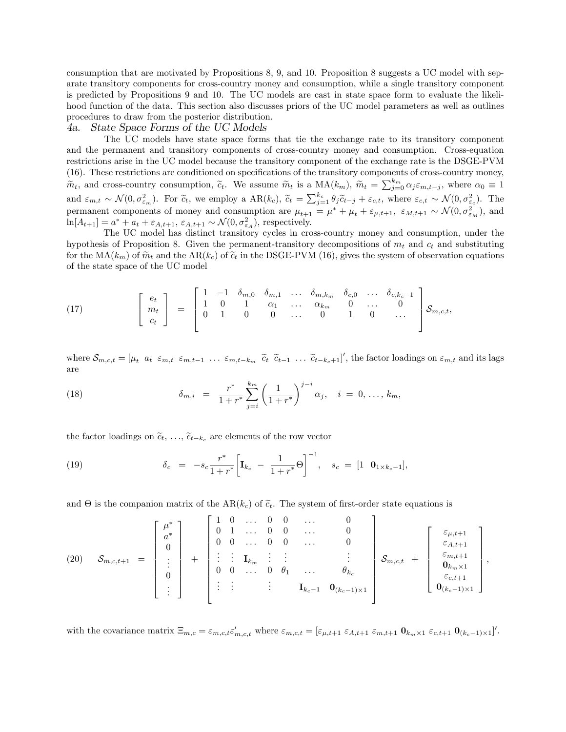consumption that are motivated by Propositions 8, 9, and 10. Proposition 8 suggests a UC model with separate transitory components for cross-country money and consumption, while a single transitory component is predicted by Propositions 9 and 10. The UC models are cast in state space form to evaluate the likelihood function of the data. This section also discusses priors of the UC model parameters as well as outlines procedures to draw from the posterior distribution.

#### 4a. State Space Forms of the UC Models

The UC models have state space forms that tie the exchange rate to its transitory component and the permanent and transitory components of cross-country money and consumption. Cross-equation restrictions arise in the UC model because the transitory component of the exchange rate is the DSGE-PVM (16). These restrictions are conditioned on specifications of the transitory components of cross-country money,  $\widetilde{m}_t$ , and cross-country consumption,  $\widetilde{c}_t$ . We assume  $\widetilde{m}_t$  is a  $\text{MA}(k_m)$ ,  $\widetilde{m}_t = \sum_{j=0}^{k_m} \alpha_j \varepsilon_{m,t-j}$ , where  $\alpha_0 \equiv 1$ and  $\varepsilon_{m,t} \sim \mathcal{N}(0, \sigma_{\varepsilon_m}^2)$ . For  $\tilde{c}_t$ , we employ a  $AR(k_c)$ ,  $\tilde{c}_t = \sum_{j=1}^{k_c} \theta_j \tilde{c}_{t-j} + \varepsilon_{c,t}$ , where  $\varepsilon_{c,t} \sim \mathcal{N}(0, \sigma_{\varepsilon_c}^2)$ . The permanent components of money and consumption are  $\mu_{t+1} = \mu^* + \mu_t + \varepsilon_{\mu,t+1}$ ,  $\varepsilon_{M,t+1} \sim \mathcal{N}(0, \sigma_{\varepsilon_M}^2)$ , and  $\ln[A_{t+1}] = a^* + a_t + \varepsilon_{A,t+1}, \, \varepsilon_{A,t+1} \sim \mathcal{N}(0, \sigma_{\varepsilon_A}^2)$ , respectively.

The UC model has distinct transitory cycles in cross-country money and consumption, under the hypothesis of Proposition 8. Given the permanent-transitory decompositions of  $m_t$  and  $c_t$  and substituting for the  $MA(k_m)$  of  $\widetilde{m}_t$  and the  $AR(k_c)$  of  $\widetilde{c}_t$  in the DSGE-PVM (16), gives the system of observation equations of the state space of the UC model

(17) 
$$
\begin{bmatrix} e_t \\ m_t \\ c_t \end{bmatrix} = \begin{bmatrix} 1 & -1 & \delta_{m,0} & \delta_{m,1} & \dots & \delta_{m,k_m} & \delta_{c,0} & \dots & \delta_{c,k_c-1} \\ 1 & 0 & 1 & \alpha_1 & \dots & \alpha_{k_m} & 0 & \dots & 0 \\ 0 & 1 & 0 & 0 & \dots & 0 & 1 & 0 & \dots \end{bmatrix} \mathcal{S}_{m,c,t},
$$

where  $\mathcal{S}_{m,c,t} = [\mu_t \ a_t \ \varepsilon_{m,t} \ \varepsilon_{m,t-1} \ \dots \ \varepsilon_{m,t-k_m} \ \tilde{c}_t \ \tilde{c}_{t-1} \ \dots \ \tilde{c}_{t-k_c+1}]',$  the factor loadings on  $\varepsilon_{m,t}$  and its lags are

(18) 
$$
\delta_{m,i} = \frac{r^*}{1+r^*} \sum_{j=i}^{k_m} \left(\frac{1}{1+r^*}\right)^{j-i} \alpha_j, \quad i = 0, \ldots, k_m,
$$

the factor loadings on  $\tilde{c}_t, \ldots, \tilde{c}_{t-k_c}$  are elements of the row vector

(19) 
$$
\delta_c = -s_c \frac{r^*}{1+r^*} \bigg[ \mathbf{I}_{k_c} - \frac{1}{1+r^*} \Theta \bigg]^{-1}, \quad s_c = [1 \quad \mathbf{0}_{1 \times k_c - 1}],
$$

and  $\Theta$  is the companion matrix of the AR( $k_c$ ) of  $\tilde{c}_t$ . The system of first-order state equations is

(20) 
$$
\mathcal{S}_{m,c,t+1} = \begin{bmatrix} \mu^* \\ a^* \\ 0 \\ \vdots \\ 0 \\ \vdots \end{bmatrix} + \begin{bmatrix} 1 & 0 & \dots & 0 & 0 & \dots & 0 \\ 0 & 1 & \dots & 0 & 0 & \dots & 0 \\ 0 & 0 & \dots & 0 & 0 & \dots & 0 \\ \vdots & \vdots & \vdots & \ddots & \vdots & \vdots & \vdots \\ 0 & 0 & \dots & 0 & \theta_1 & \dots & \theta_k \\ \vdots & \vdots & \vdots & \ddots & \vdots & \vdots \\ 0 & \vdots & \vdots & \vdots & \ddots & \vdots \\ 0 & \vdots & \vdots & \vdots & \vdots & \vdots \\ 0 & \vdots & \vdots & \vdots & \vdots & \vdots \\ 0 & 0 & \dots & 0 & \theta_1 & \dots & \theta_k \end{bmatrix} \mathcal{S}_{m,c,t} + \begin{bmatrix} \varepsilon_{\mu,t+1} \\ \varepsilon_{\mu,t+1} \\ \varepsilon_{m,t+1} \\ \varepsilon_{m,t+1} \\ \varepsilon_{c,t+1} \\ \varepsilon_{c,t+1} \\ 0 \\ 0 \\ (k_c-1)\times 1 \end{bmatrix},
$$

with the covariance matrix  $\Xi_{m,c} = \varepsilon_{m,c,t} \varepsilon'_{m,c,t}$  where  $\varepsilon_{m,c,t} = [\varepsilon_{\mu,t+1} \varepsilon_{A,t+1} \varepsilon_{m,t+1} \mathbf{0}_{k_m \times 1} \varepsilon_{c,t+1} \mathbf{0}_{(k_c-1) \times 1}]'.$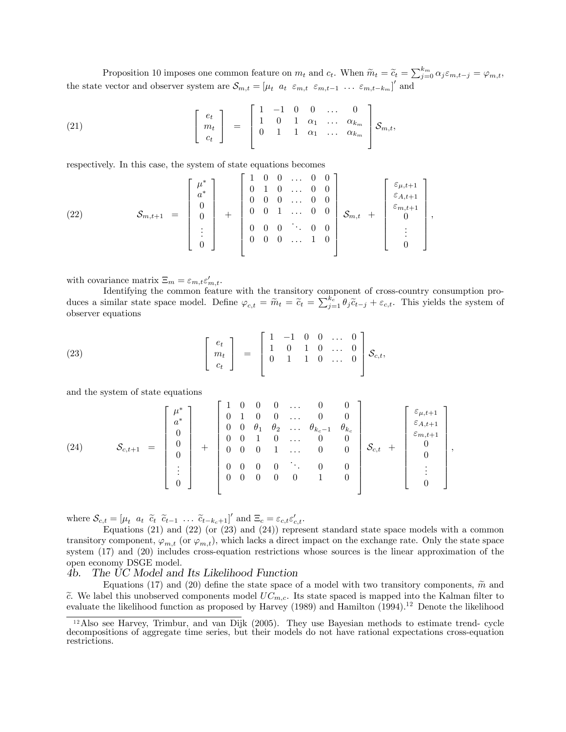Proposition 10 imposes one common feature on  $m_t$  and  $c_t$ . When  $\widetilde{m}_t = \widetilde{c}_t = \sum_{j=0}^{k_m} \alpha_j \varepsilon_{m,t-j} = \varphi_{m,t}$ , the state vector and observer system are  $\mathcal{S}_{m,t} = [\mu_t \ a_t \ \varepsilon_{m,t} \ \varepsilon_{m,t-1} \ \dots \ \varepsilon_{m,t-k_m}]'$  and

(21) 
$$
\begin{bmatrix} e_t \\ m_t \\ c_t \end{bmatrix} = \begin{bmatrix} 1 & -1 & 0 & 0 & \dots & 0 \\ 1 & 0 & 1 & \alpha_1 & \dots & \alpha_{k_m} \\ 0 & 1 & 1 & \alpha_1 & \dots & \alpha_{k_m} \end{bmatrix} \mathcal{S}_{m,t},
$$

respectively. In this case, the system of state equations becomes

(22) 
$$
\mathcal{S}_{m,t+1} = \begin{bmatrix} \mu^* \\ a^* \\ 0 \\ 0 \\ \vdots \\ 0 \end{bmatrix} + \begin{bmatrix} 1 & 0 & 0 & \dots & 0 & 0 \\ 0 & 1 & 0 & \dots & 0 & 0 \\ 0 & 0 & 0 & \dots & 0 & 0 \\ 0 & 0 & 1 & \dots & 0 & 0 \\ 0 & 0 & 0 & \ddots & 0 & 0 \\ 0 & 0 & 0 & \dots & 1 & 0 \end{bmatrix} \mathcal{S}_{m,t} + \begin{bmatrix} \varepsilon_{\mu,t+1} \\ \varepsilon_{A,t+1} \\ \varepsilon_{m,t+1} \\ 0 \\ \vdots \\ 0 \end{bmatrix},
$$

with covariance matrix  $\Xi_m = \varepsilon_{m,t} \varepsilon'_{m,t}$ .

Identifying the common feature with the transitory component of cross-country consumption produces a similar state space model. Define  $\varphi_{c,t} = \widetilde{m}_t = \widetilde{c}_t = \sum_{j=1}^{k_c} \theta_j \widetilde{c}_{t-j} + \varepsilon_{c,t}$ . This yields the system of observer equations

(23) 
$$
\begin{bmatrix} e_t \\ m_t \\ c_t \end{bmatrix} = \begin{bmatrix} 1 & -1 & 0 & 0 & \dots & 0 \\ 1 & 0 & 1 & 0 & \dots & 0 \\ 0 & 1 & 1 & 0 & \dots & 0 \\ 0 & 0 & 0 & \dots & 0 & 0 \end{bmatrix} \mathcal{S}_{c,t},
$$

and the system of state equations

(24) 
$$
\mathcal{S}_{c,t+1} = \begin{bmatrix} \mu^* \\ a^* \\ 0 \\ 0 \\ 0 \\ \vdots \\ 0 \end{bmatrix} + \begin{bmatrix} 1 & 0 & 0 & 0 & \dots & 0 & 0 \\ 0 & 1 & 0 & 0 & \dots & 0 & 0 \\ 0 & 0 & \theta_1 & \theta_2 & \dots & \theta_{k_c-1} & \theta_{k_c} \\ 0 & 0 & 1 & 0 & \dots & 0 & 0 \\ 0 & 0 & 0 & 1 & \dots & 0 & 0 \\ 0 & 0 & 0 & 0 & \ddots & 0 & 0 \\ 0 & 0 & 0 & 0 & 0 & 1 & 0 \end{bmatrix} \mathcal{S}_{c,t} + \begin{bmatrix} \varepsilon_{\mu,t+1} \\ \varepsilon_{A,t+1} \\ \varepsilon_{m,t+1} \\ 0 \\ 0 \\ \vdots \\ 0 \end{bmatrix},
$$

where  $\mathcal{S}_{c,t} = \begin{bmatrix} \mu_t & a_t & \tilde{c}_t & \tilde{c}_{t-1} & \dots & \tilde{c}_{t-k-1} \end{bmatrix}^t$  and  $\Xi_c = \varepsilon_{c,t} \varepsilon'_{c,t}$ .

Equations (21) and (22) (or (23) and (24)) represent standard state space models with a common transitory component,  $\varphi_{m,t}$  (or  $\varphi_{m,t}$ ), which lacks a direct impact on the exchange rate. Only the state space system (17) and (20) includes cross-equation restrictions whose sources is the linear approximation of the open economy DSGE model.

#### 4b. The UC Model and Its Likelihood Function

Equations (17) and (20) define the state space of a model with two transitory components,  $\tilde{m}$  and  $\tilde{c}$ . We label this unobserved components model  $UC_{m,c}$ . Its state spaced is mapped into the Kalman filter to evaluate the likelihood function as proposed by Harvey (1989) and Hamilton (1994).<sup>12</sup> Denote the likelihood

<sup>&</sup>lt;sup>12</sup>Also see Harvey, Trimbur, and van Dijk (2005). They use Bayesian methods to estimate trend- cycle decompositions of aggregate time series, but their models do not have rational expectations cross-equation restrictions.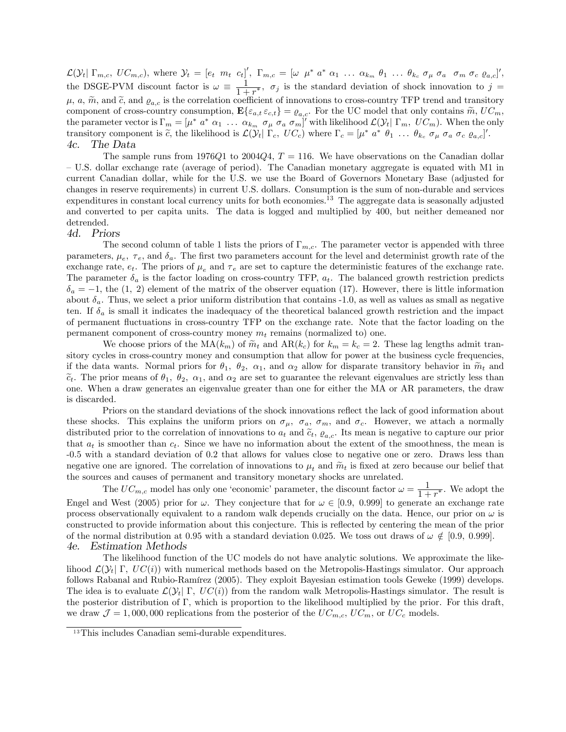$\mathcal{L}(\mathcal{Y}_t | \Gamma_{m,c}, U C_{m,c}),$  where  $\mathcal{Y}_t = [e_t \ m_t \ c_t]',$   $\Gamma_{m,c} = [\omega \ \mu^* \ a^* \ \alpha_1 \ \dots \ \alpha_{k_m} \ \theta_1 \ \dots \ \theta_{k_c} \ \sigma_{\mu} \ \sigma_a \quad \sigma_m \ \sigma_c \ \varrho_{a,c}]',$ the DSGE-PVM discount factor is  $\omega \equiv \frac{1}{1 + \epsilon}$  $\frac{1}{1+r^*}, \sigma_j$  is the standard deviation of shock innovation to  $j =$  $\mu$ , a,  $\tilde{m}$ , and  $\tilde{c}$ , and  $\varrho_{a,c}$  is the correlation coefficient of innovations to cross-country TFP trend and transitory component of cross-country consumption,  $\mathbf{E}\{\varepsilon_{a,t}\varepsilon_{c,t}\} = \varrho_{a,c}$ . For the UC model that only contains  $\widetilde{m}$ ,  $UC_m$ , the parameter vector is  $\Gamma_m = [\mu^* a^* \alpha_1 \dots \alpha_{k_m} \sigma_\mu \sigma_a \sigma_m]'$  with likelihood  $\mathcal{L}(\mathcal{Y}_t | \Gamma_m, U C_m)$ . When the only transitory component is  $\tilde{c}$ , the likelihood is  $\mathcal{L}(\mathcal{Y}_t | \Gamma_c, UC_c)$  where  $\Gamma_c = [\mu^* a^* \theta_1 \dots \theta_{k_c} \sigma_{\mu} \sigma_a \sigma_c \varrho_{a,c}]'.$ 4c. The Data

The sample runs from 1976Q1 to 2004Q4,  $T = 116$ . We have observations on the Canadian dollar – U.S. dollar exchange rate (average of period). The Canadian monetary aggregate is equated with M1 in current Canadian dollar, while for the U.S. we use the Board of Governors Monetary Base (adjusted for changes in reserve requirements) in current U.S. dollars. Consumption is the sum of non-durable and services expenditures in constant local currency units for both economies.<sup>13</sup> The aggregate data is seasonally adjusted and converted to per capita units. The data is logged and multiplied by 400, but neither demeaned nor detrended.

#### 4d. Priors

The second column of table 1 lists the priors of  $\Gamma_{m,c}$ . The parameter vector is appended with three parameters,  $\mu_e$ ,  $\tau_e$ , and  $\delta_a$ . The first two parameters account for the level and determinist growth rate of the exchange rate,  $e_t$ . The priors of  $\mu_e$  and  $\tau_e$  are set to capture the deterministic features of the exchange rate. The parameter  $\delta_a$  is the factor loading on cross-country TFP,  $a_t$ . The balanced growth restriction predicts  $\delta_a = -1$ , the (1, 2) element of the matrix of the observer equation (17). However, there is little information about  $\delta_a$ . Thus, we select a prior uniform distribution that contains -1.0, as well as values as small as negative ten. If  $\delta_a$  is small it indicates the inadequacy of the theoretical balanced growth restriction and the impact of permanent áuctuations in cross-country TFP on the exchange rate. Note that the factor loading on the permanent component of cross-country money  $m_t$  remains (normalized to) one.

We choose priors of the  $MA(k_m)$  of  $\widetilde{m}_t$  and  $AR(k_c)$  for  $k_m = k_c = 2$ . These lag lengths admit transitory cycles in cross-country money and consumption that allow for power at the business cycle frequencies, if the data wants. Normal priors for  $\theta_1$ ,  $\theta_2$ ,  $\alpha_1$ , and  $\alpha_2$  allow for disparate transitory behavior in  $\widetilde{m}_t$  and  $\tilde{c}_t$ . The prior means of  $\theta_1$ ,  $\theta_2$ ,  $\alpha_1$ , and  $\alpha_2$  are set to guarantee the relevant eigenvalues are strictly less than one. When a draw generates an eigenvalue greater than one for either the MA or AR parameters, the draw is discarded.

Priors on the standard deviations of the shock innovations reflect the lack of good information about these shocks. This explains the uniform priors on  $\sigma_{\mu}$ ,  $\sigma_{a}$ ,  $\sigma_{m}$ , and  $\sigma_{c}$ . However, we attach a normally distributed prior to the correlation of innovations to  $a_t$  and  $\tilde{c}_t$ ,  $\varrho_{a,c}$ . Its mean is negative to capture our prior that  $a_t$  is smoother than  $c_t$ . Since we have no information about the extent of the smoothness, the mean is -0.5 with a standard deviation of 0.2 that allows for values close to negative one or zero. Draws less than negative one are ignored. The correlation of innovations to  $\mu_t$  and  $\tilde{m}_t$  is fixed at zero because our belief that the sources and causes of permanent and transitory monetary shocks are unrelated.

The  $UC_{m,c}$  model has only one 'economic' parameter, the discount factor  $\omega = \frac{1}{1+r}$  $\frac{1}{1+r^*}$ . We adopt the Engel and West (2005) prior for  $\omega$ . They conjecture that for  $\omega \in [0.9, 0.999]$  to generate an exchange rate process observationally equivalent to a random walk depends crucially on the data. Hence, our prior on  $\omega$  is constructed to provide information about this conjecture. This is reflected by centering the mean of the prior of the normal distribution at 0.95 with a standard deviation 0.025. We toss out draws of  $\omega \notin [0.9, 0.999]$ .<br>4e. Estimation Methods Estimation Methods

The likelihood function of the UC models do not have analytic solutions. We approximate the likelihood  $\mathcal{L}(\mathcal{Y}_t | \Gamma, UC(i))$  with numerical methods based on the Metropolis-Hastings simulator. Our approach follows Rabanal and Rubio-Ramírez (2005). They exploit Bayesian estimation tools Geweke (1999) develops. The idea is to evaluate  $\mathcal{L}(\mathcal{Y}_t | \Gamma, UC(i))$  from the random walk Metropolis-Hastings simulator. The result is the posterior distribution of  $\Gamma$ , which is proportion to the likelihood multiplied by the prior. For this draft, we draw  $\mathcal{J} = 1,000,000$  replications from the posterior of the  $UC_{m,c}$ ,  $UC_m$ , or  $UC_c$  models.

<sup>&</sup>lt;sup>13</sup>This includes Canadian semi-durable expenditures.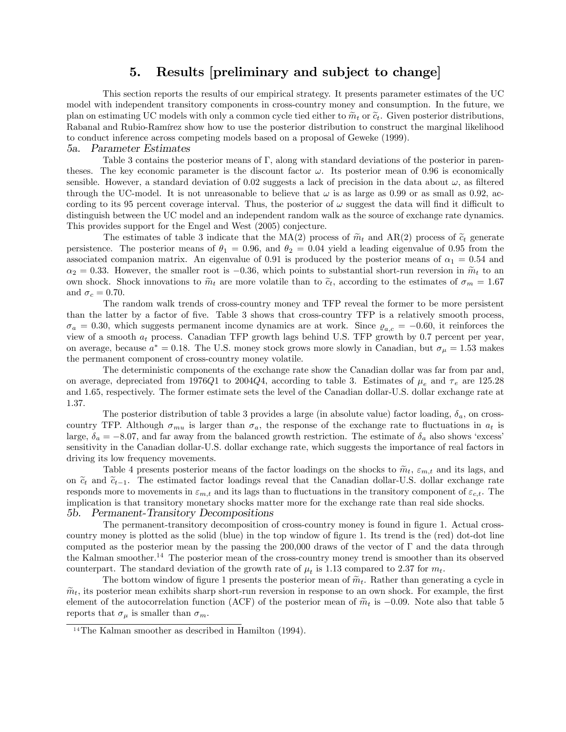## 5. Results [preliminary and subject to change]

This section reports the results of our empirical strategy. It presents parameter estimates of the UC model with independent transitory components in cross-country money and consumption. In the future, we plan on estimating UC models with only a common cycle tied either to  $\widetilde{m}_t$  or  $\widetilde{c}_t$ . Given posterior distributions, Rabanal and Rubio-Ramírez show how to use the posterior distribution to construct the marginal likelihood to conduct inference across competing models based on a proposal of Geweke (1999).

#### 5a. Parameter Estimates

Table 3 contains the posterior means of  $\Gamma$ , along with standard deviations of the posterior in parentheses. The key economic parameter is the discount factor  $\omega$ . Its posterior mean of 0.96 is economically sensible. However, a standard deviation of 0.02 suggests a lack of precision in the data about  $\omega$ , as filtered through the UC-model. It is not unreasonable to believe that  $\omega$  is as large as 0.99 or as small as 0.92, according to its 95 percent coverage interval. Thus, the posterior of  $\omega$  suggest the data will find it difficult to distinguish between the UC model and an independent random walk as the source of exchange rate dynamics. This provides support for the Engel and West (2005) conjecture.

The estimates of table 3 indicate that the MA(2) process of  $\tilde{m}_t$  and AR(2) process of  $\tilde{c}_t$  generate persistence. The posterior means of  $\theta_1 = 0.96$ , and  $\theta_2 = 0.04$  yield a leading eigenvalue of 0.95 from the associated companion matrix. An eigenvalue of 0.91 is produced by the posterior means of  $\alpha_1 = 0.54$  and  $\alpha_2 = 0.33$ . However, the smaller root is -0.36, which points to substantial short-run reversion in  $\tilde{m}_t$  to an own shock. Shock innovations to  $\tilde{m}_t$  are more volatile than to  $\tilde{c}_t$ , according to the estimates of  $\sigma_m = 1.67$ and  $\sigma_c = 0.70$ .

The random walk trends of cross-country money and TFP reveal the former to be more persistent than the latter by a factor of five. Table 3 shows that cross-country TFP is a relatively smooth process,  $\sigma_a = 0.30$ , which suggests permanent income dynamics are at work. Since  $\rho_{a,c} = -0.60$ , it reinforces the view of a smooth  $a_t$  process. Canadian TFP growth lags behind U.S. TFP growth by 0.7 percent per year, on average, because  $a^* = 0.18$ . The U.S. money stock grows more slowly in Canadian, but  $\sigma_{\mu} = 1.53$  makes the permanent component of cross-country money volatile.

The deterministic components of the exchange rate show the Canadian dollar was far from par and, on average, depreciated from 1976Q1 to 2004Q4, according to table 3. Estimates of  $\mu_e$  and  $\tau_e$  are 125.28 and 1.65, respectively. The former estimate sets the level of the Canadian dollar-U.S. dollar exchange rate at 1.37.

The posterior distribution of table 3 provides a large (in absolute value) factor loading,  $\delta_a$ , on crosscountry TFP. Although  $\sigma_{mu}$  is larger than  $\sigma_a$ , the response of the exchange rate to fluctuations in  $a_t$  is large,  $\delta_a = -8.07$ , and far away from the balanced growth restriction. The estimate of  $\delta_a$  also shows 'excess' sensitivity in the Canadian dollar-U.S. dollar exchange rate, which suggests the importance of real factors in driving its low frequency movements.

Table 4 presents posterior means of the factor loadings on the shocks to  $\tilde{m}_t$ ,  $\varepsilon_{m,t}$  and its lags, and on  $\tilde{c}_t$  and  $\tilde{c}_{t-1}$ . The estimated factor loadings reveal that the Canadian dollar-U.S. dollar exchange rate responds more to movements in  $\varepsilon_{m,t}$  and its lags than to fluctuations in the transitory component of  $\varepsilon_{c,t}$ . The implication is that transitory monetary shocks matter more for the exchange rate than real side shocks. 5b. Permanent-Transitory Decompositions

#### The permanent-transitory decomposition of cross-country money is found in figure 1. Actual crosscountry money is plotted as the solid (blue) in the top window of figure 1. Its trend is the (red) dot-dot line computed as the posterior mean by the passing the  $200,000$  draws of the vector of  $\Gamma$  and the data through the Kalman smoother.<sup>14</sup> The posterior mean of the cross-country money trend is smoother than its observed counterpart. The standard deviation of the growth rate of  $\mu_t$  is 1.13 compared to 2.37 for  $m_t$ .

The bottom window of figure 1 presents the posterior mean of  $\widetilde{m}_t$ . Rather than generating a cycle in  $\widetilde{m}_t$ , its posterior mean exhibits sharp short-run reversion in response to an own shock. For example, the first element of the autocorrelation function (ACF) of the posterior mean of  $\tilde{m}_t$  is  $-0.09$ . Note also that table 5 reports that  $\sigma_{\mu}$  is smaller than  $\sigma_{m}$ .

<sup>&</sup>lt;sup>14</sup>The Kalman smoother as described in Hamilton  $(1994)$ .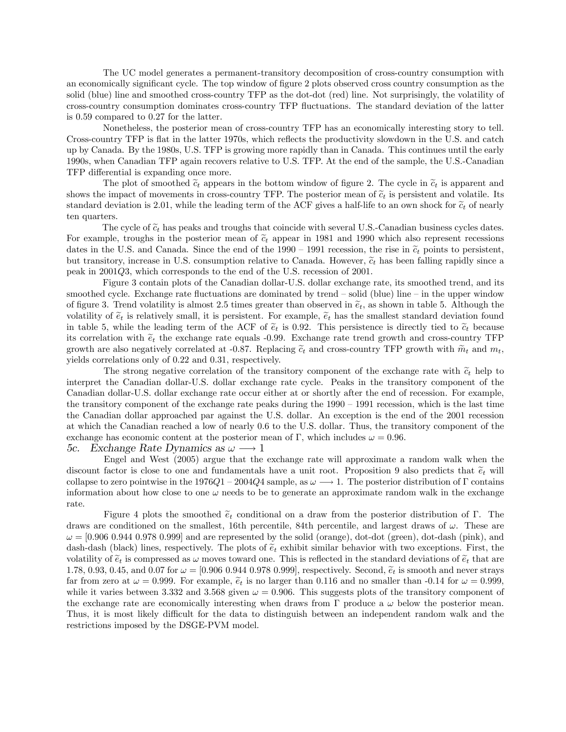The UC model generates a permanent-transitory decomposition of cross-country consumption with an economically significant cycle. The top window of figure 2 plots observed cross country consumption as the solid (blue) line and smoothed cross-country TFP as the dot-dot (red) line. Not surprisingly, the volatility of cross-country consumption dominates cross-country TFP áuctuations. The standard deviation of the latter is 0.59 compared to 0.27 for the latter.

Nonetheless, the posterior mean of cross-country TFP has an economically interesting story to tell. Cross-country TFP is flat in the latter 1970s, which reflects the productivity slowdown in the U.S. and catch up by Canada. By the 1980s, U.S. TFP is growing more rapidly than in Canada. This continues until the early 1990s, when Canadian TFP again recovers relative to U.S. TFP. At the end of the sample, the U.S.-Canadian TFP differential is expanding once more.

The plot of smoothed  $\tilde{c}_t$  appears in the bottom window of figure 2. The cycle in  $\tilde{c}_t$  is apparent and shows the impact of movements in cross-country TFP. The posterior mean of  $\tilde{c}_t$  is persistent and volatile. Its standard deviation is 2.01, while the leading term of the ACF gives a half-life to an own shock for  $\tilde{c}_t$  of nearly ten quarters.

The cycle of  $\tilde{c}_t$  has peaks and troughs that coincide with several U.S.-Canadian business cycles dates. For example, troughs in the posterior mean of  $\tilde{c}_t$  appear in 1981 and 1990 which also represent recessions dates in the U.S. and Canada. Since the end of the 1990 – 1991 recession, the rise in  $\tilde{c}_t$  points to persistent, but transitory, increase in U.S. consumption relative to Canada. However,  $\tilde{c}_t$  has been falling rapidly since a peak in 2001Q3, which corresponds to the end of the U.S. recession of 2001.

Figure 3 contain plots of the Canadian dollar-U.S. dollar exchange rate, its smoothed trend, and its smoothed cycle. Exchange rate fluctuations are dominated by trend  $\sim$  solid (blue) line  $\sim$  in the upper window of figure 3. Trend volatility is almost 2.5 times greater than observed in  $\tilde{e}_t$ , as shown in table 5. Although the volatility of  $\tilde{e}_t$  is relatively small, it is persistent. For example,  $\tilde{e}_t$  has the smallest standard deviation found in table 5, while the leading term of the ACF of  $\tilde{e}_t$  is 0.92. This persistence is directly tied to  $\tilde{e}_t$  because its correlation with  $\tilde{e}_t$  the exchange rate equals -0.99. Exchange rate trend growth and cross-country TFP growth are also negatively correlated at -0.87. Replacing  $\tilde{c}_t$  and cross-country TFP growth with  $\tilde{m}_t$  and  $m_t$ , yields correlations only of 0.22 and 0.31, respectively.

The strong negative correlation of the transitory component of the exchange rate with  $\tilde{c}_t$  help to interpret the Canadian dollar-U.S. dollar exchange rate cycle. Peaks in the transitory component of the Canadian dollar-U.S. dollar exchange rate occur either at or shortly after the end of recession. For example, the transitory component of the exchange rate peaks during the  $1990 - 1991$  recession, which is the last time the Canadian dollar approached par against the U.S. dollar. An exception is the end of the 2001 recession at which the Canadian reached a low of nearly 0.6 to the U.S. dollar. Thus, the transitory component of the exchange has economic content at the posterior mean of  $\Gamma$ , which includes  $\omega = 0.96$ .

5c. Exchange Rate Dynamics as  $\omega \longrightarrow 1$ 

Engel and West (2005) argue that the exchange rate will approximate a random walk when the discount factor is close to one and fundamentals have a unit root. Proposition 9 also predicts that  $\tilde{e}_t$  will collapse to zero pointwise in the  $1976Q1 - 2004Q4$  sample, as  $\omega \longrightarrow 1$ . The posterior distribution of  $\Gamma$  contains information about how close to one  $\omega$  needs to be to generate an approximate random walk in the exchange rate.

Figure 4 plots the smoothed  $\tilde{e}_t$  conditional on a draw from the posterior distribution of  $\Gamma$ . The draws are conditioned on the smallest, 16th percentile, 84th percentile, and largest draws of  $\omega$ . These are  $\omega = [0.906\ 0.944\ 0.978\ 0.999]$  and are represented by the solid (orange), dot-dot (green), dot-dash (pink), and dash-dash (black) lines, respectively. The plots of  $\tilde{e}_t$  exhibit similar behavior with two exceptions. First, the volatility of  $\tilde{e}_t$  is compressed as  $\omega$  moves toward one. This is reflected in the standard deviations of  $\tilde{e}_t$  that are 1.78, 0.93, 0.45, and 0.07 for  $\omega = [0.906 \ 0.944 \ 0.978 \ 0.999]$ , respectively. Second,  $\tilde{e}_t$  is smooth and never strays far from zero at  $\omega = 0.999$ . For example,  $\tilde{e}_t$  is no larger than 0.116 and no smaller than -0.14 for  $\omega = 0.999$ , while it varies between 3.332 and 3.568 given  $\omega = 0.906$ . This suggests plots of the transitory component of the exchange rate are economically interesting when draws from  $\Gamma$  produce a  $\omega$  below the posterior mean. Thus, it is most likely difficult for the data to distinguish between an independent random walk and the restrictions imposed by the DSGE-PVM model.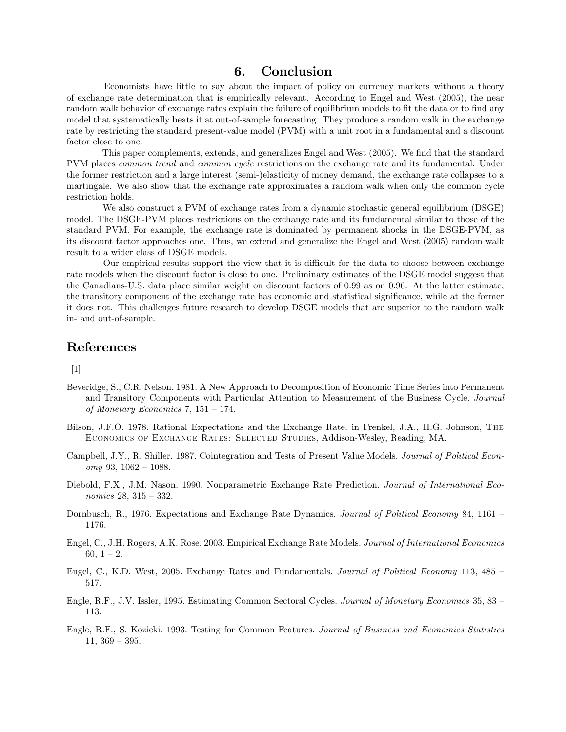## 6. Conclusion

Economists have little to say about the impact of policy on currency markets without a theory of exchange rate determination that is empirically relevant. According to Engel and West (2005), the near random walk behavior of exchange rates explain the failure of equilibrium models to fit the data or to find any model that systematically beats it at out-of-sample forecasting. They produce a random walk in the exchange rate by restricting the standard present-value model (PVM) with a unit root in a fundamental and a discount factor close to one.

This paper complements, extends, and generalizes Engel and West (2005). We find that the standard PVM places common trend and common cycle restrictions on the exchange rate and its fundamental. Under the former restriction and a large interest (semi-)elasticity of money demand, the exchange rate collapses to a martingale. We also show that the exchange rate approximates a random walk when only the common cycle restriction holds.

We also construct a PVM of exchange rates from a dynamic stochastic general equilibrium (DSGE) model. The DSGE-PVM places restrictions on the exchange rate and its fundamental similar to those of the standard PVM. For example, the exchange rate is dominated by permanent shocks in the DSGE-PVM, as its discount factor approaches one. Thus, we extend and generalize the Engel and West (2005) random walk result to a wider class of DSGE models.

Our empirical results support the view that it is difficult for the data to choose between exchange rate models when the discount factor is close to one. Preliminary estimates of the DSGE model suggest that the Canadians-U.S. data place similar weight on discount factors of 0.99 as on 0.96. At the latter estimate, the transitory component of the exchange rate has economic and statistical significance, while at the former it does not. This challenges future research to develop DSGE models that are superior to the random walk in- and out-of-sample.

## References

[1]

- Beveridge, S., C.R. Nelson. 1981. A New Approach to Decomposition of Economic Time Series into Permanent and Transitory Components with Particular Attention to Measurement of the Business Cycle. Journal of Monetary Economics 7,  $151 - 174$ .
- Bilson, J.F.O. 1978. Rational Expectations and the Exchange Rate. in Frenkel, J.A., H.G. Johnson, The Economics of Exchange Rates: Selected Studies, Addison-Wesley, Reading, MA.
- Campbell, J.Y., R. Shiller. 1987. Cointegration and Tests of Present Value Models. Journal of Political Econ $omy$  93, 1062 – 1088.
- Diebold, F.X., J.M. Nason. 1990. Nonparametric Exchange Rate Prediction. Journal of International Economics  $28, 315 - 332.$
- Dornbusch, R., 1976. Expectations and Exchange Rate Dynamics. Journal of Political Economy 84, 1161 1176.
- Engel, C., J.H. Rogers, A.K. Rose. 2003. Empirical Exchange Rate Models. Journal of International Economics 60,  $1 - 2$ .
- Engel, C., K.D. West, 2005. Exchange Rates and Fundamentals. Journal of Political Economy 113, 485  $-$ 517.
- Engle, R.F., J.V. Issler, 1995. Estimating Common Sectoral Cycles. Journal of Monetary Economics 35, 83 113.
- Engle, R.F., S. Kozicki, 1993. Testing for Common Features. Journal of Business and Economics Statistics  $11, 369 - 395.$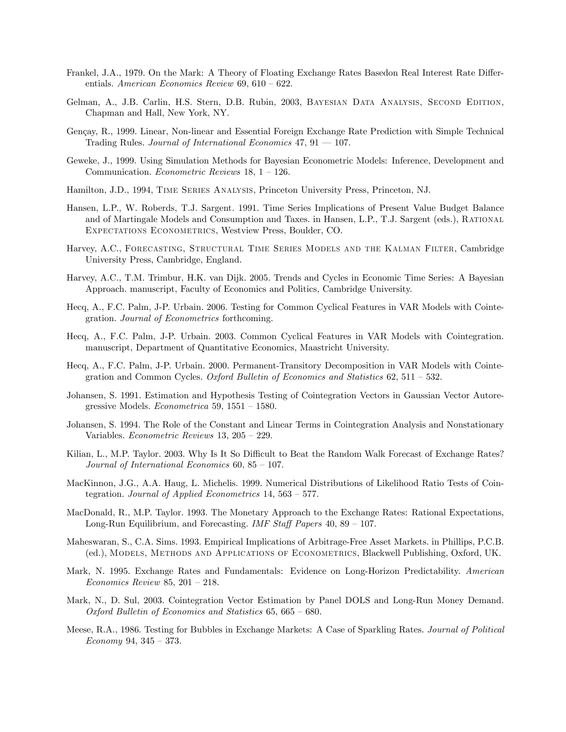- Frankel, J.A., 1979. On the Mark: A Theory of Floating Exchange Rates Basedon Real Interest Rate Differentials. American Economics Review  $69, 610 - 622$ .
- Gelman, A., J.B. Carlin, H.S. Stern, D.B. Rubin, 2003, Bayesian Data Analysis, Second Edition, Chapman and Hall, New York, NY.
- Gençay, R., 1999. Linear, Non-linear and Essential Foreign Exchange Rate Prediction with Simple Technical Trading Rules. Journal of International Economics 47,  $91 - 107$ .
- Geweke, J., 1999. Using Simulation Methods for Bayesian Econometric Models: Inference, Development and Communication. Econometric Reviews  $18$ ,  $1 - 126$ .
- Hamilton, J.D., 1994, Time Series Analysis, Princeton University Press, Princeton, NJ.
- Hansen, L.P., W. Roberds, T.J. Sargent. 1991. Time Series Implications of Present Value Budget Balance and of Martingale Models and Consumption and Taxes. in Hansen, L.P., T.J. Sargent (eds.), Rational Expectations Econometrics, Westview Press, Boulder, CO.
- Harvey, A.C., Forecasting, Structural Time Series Models and the Kalman Filter, Cambridge University Press, Cambridge, England.
- Harvey, A.C., T.M. Trimbur, H.K. van Dijk. 2005. Trends and Cycles in Economic Time Series: A Bayesian Approach. manuscript, Faculty of Economics and Politics, Cambridge University.
- Hecq, A., F.C. Palm, J-P. Urbain. 2006. Testing for Common Cyclical Features in VAR Models with Cointegration. Journal of Econometrics forthcoming.
- Hecq, A., F.C. Palm, J-P. Urbain. 2003. Common Cyclical Features in VAR Models with Cointegration. manuscript, Department of Quantitative Economics, Maastricht University.
- Hecq, A., F.C. Palm, J-P. Urbain. 2000. Permanent-Transitory Decomposition in VAR Models with Cointegration and Common Cycles. Oxford Bulletin of Economics and Statistics 62, 511 – 532.
- Johansen, S. 1991. Estimation and Hypothesis Testing of Cointegration Vectors in Gaussian Vector Autoregressive Models. *Econometrica* 59,  $1551 - 1580$ .
- Johansen, S. 1994. The Role of the Constant and Linear Terms in Cointegration Analysis and Nonstationary Variables. *Econometric Reviews*  $13, 205 - 229$ .
- Kilian, L., M.P. Taylor. 2003. Why Is It So Difficult to Beat the Random Walk Forecast of Exchange Rates? Journal of International Economics  $60, 85 - 107$ .
- MacKinnon, J.G., A.A. Haug, L. Michelis. 1999. Numerical Distributions of Likelihood Ratio Tests of Cointegration. Journal of Applied Econometrics  $14, 563 - 577$ .
- MacDonald, R., M.P. Taylor. 1993. The Monetary Approach to the Exchange Rates: Rational Expectations, Long-Run Equilibrium, and Forecasting. IMF Staff Papers  $40, 89 - 107$ .
- Maheswaran, S., C.A. Sims. 1993. Empirical Implications of Arbitrage-Free Asset Markets. in Phillips, P.C.B. (ed.), Models, Methods and Applications of Econometrics, Blackwell Publishing, Oxford, UK.
- Mark, N. 1995. Exchange Rates and Fundamentals: Evidence on Long-Horizon Predictability. American Economics Review 85,  $201 - 218$ .
- Mark, N., D. Sul, 2003. Cointegration Vector Estimation by Panel DOLS and Long-Run Money Demand. Oxford Bulletin of Economics and Statistics  $65, 665 - 680$ .
- Meese, R.A., 1986. Testing for Bubbles in Exchange Markets: A Case of Sparkling Rates. Journal of Political Economy 94,  $345 - 373$ .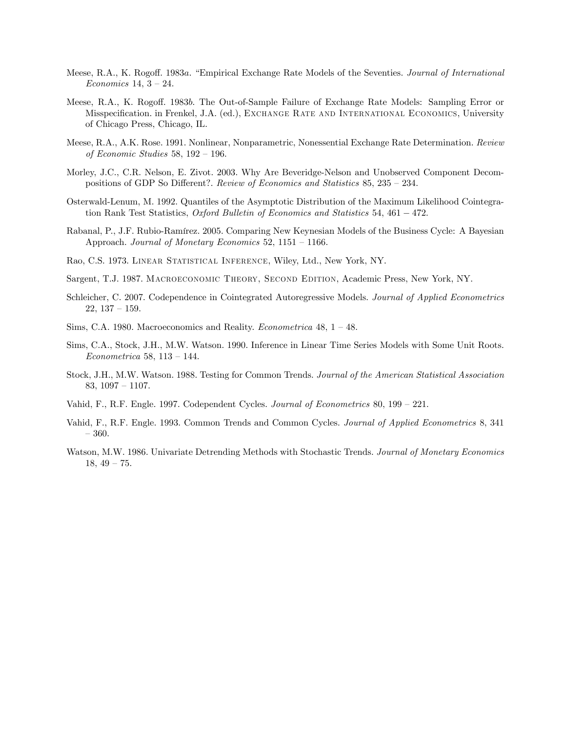- Meese, R.A., K. Rogoff. 1983a. "Empirical Exchange Rate Models of the Seventies. Journal of International Economics 14,  $3 - 24$ .
- Meese, R.A., K. Rogoff. 1983b. The Out-of-Sample Failure of Exchange Rate Models: Sampling Error or Misspecification. in Frenkel, J.A. (ed.), EXCHANGE RATE AND INTERNATIONAL ECONOMICS, University of Chicago Press, Chicago, IL.
- Meese, R.A., A.K. Rose. 1991. Nonlinear, Nonparametric, Nonessential Exchange Rate Determination. Review of Economic Studies 58,  $192 - 196$ .
- Morley, J.C., C.R. Nelson, E. Zivot. 2003. Why Are Beveridge-Nelson and Unobserved Component Decompositions of GDP So Different?. Review of Economics and Statistics 85,  $235 - 234$ .
- Osterwald-Lenum, M. 1992. Quantiles of the Asymptotic Distribution of the Maximum Likelihood Cointegration Rank Test Statistics, Oxford Bulletin of Economics and Statistics 54, 461  $-$  472.
- Rabanal, P., J.F. Rubio-Ramírez. 2005. Comparing New Keynesian Models of the Business Cycle: A Bayesian Approach. Journal of Monetary Economics  $52$ ,  $1151 - 1166$ .
- Rao, C.S. 1973. Linear Statistical Inference, Wiley, Ltd., New York, NY.
- Sargent, T.J. 1987. Macroeconomic Theory, Second Edition, Academic Press, New York, NY.
- Schleicher, C. 2007. Codependence in Cointegrated Autoregressive Models. Journal of Applied Econometrics  $22, 137 - 159.$
- Sims, C.A. 1980. Macroeconomics and Reality. *Econometrica* 48,  $1 48$ .
- Sims, C.A., Stock, J.H., M.W. Watson. 1990. Inference in Linear Time Series Models with Some Unit Roots. Econometrica 58,  $113 - 144$ .
- Stock, J.H., M.W. Watson. 1988. Testing for Common Trends. Journal of the American Statistical Association 83,  $1097 - 1107$ .
- Vahid, F., R.F. Engle. 1997. Codependent Cycles. Journal of Econometrics 80,  $199 221$ .
- Vahid, F., R.F. Engle. 1993. Common Trends and Common Cycles. Journal of Applied Econometrics 8, 341  $-360.$
- Watson, M.W. 1986. Univariate Detrending Methods with Stochastic Trends. Journal of Monetary Economics  $18, 49 - 75.$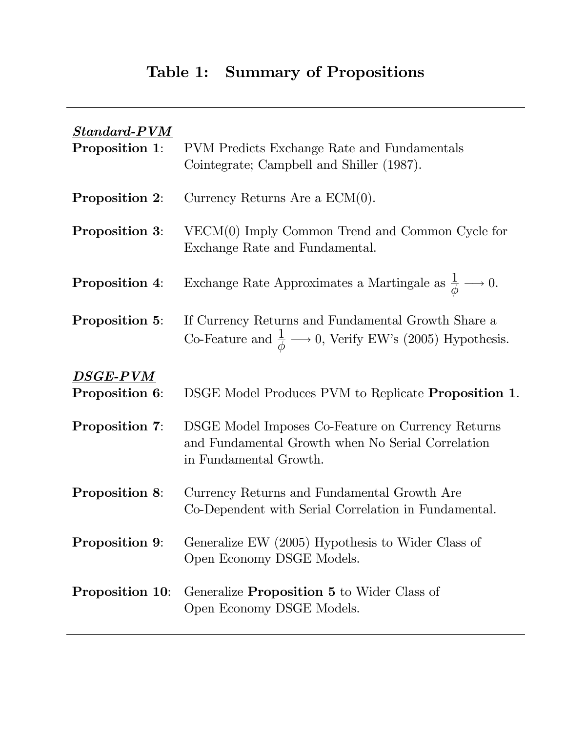# Table 1: Summary of Propositions

| $Standard-PVM$<br>Proposition 1: | PVM Predicts Exchange Rate and Fundamentals<br>Cointegrate; Campbell and Shiller (1987).                                                 |
|----------------------------------|------------------------------------------------------------------------------------------------------------------------------------------|
| <b>Proposition 2:</b>            | Currency Returns Are a $ECM(0)$ .                                                                                                        |
| <b>Proposition 3:</b>            | $VECM(0)$ Imply Common Trend and Common Cycle for<br>Exchange Rate and Fundamental.                                                      |
| <b>Proposition 4:</b>            | Exchange Rate Approximates a Martingale as $\frac{1}{\phi} \longrightarrow 0$ .                                                          |
| <b>Proposition 5:</b>            | If Currency Returns and Fundamental Growth Share a<br>Co-Feature and $\frac{1}{\phi} \longrightarrow 0$ , Verify EW's (2005) Hypothesis. |
| $DSGE-PVM$<br>Proposition 6:     | DSGE Model Produces PVM to Replicate <b>Proposition 1</b> .                                                                              |
| <b>Proposition 7:</b>            | DSGE Model Imposes Co-Feature on Currency Returns<br>and Fundamental Growth when No Serial Correlation<br>in Fundamental Growth.         |
| <b>Proposition 8:</b>            | Currency Returns and Fundamental Growth Are<br>Co-Dependent with Serial Correlation in Fundamental.                                      |
| Proposition 9:                   | Generalize EW (2005) Hypothesis to Wider Class of<br>Open Economy DSGE Models.                                                           |
| <b>Proposition 10:</b>           | Generalize <b>Proposition 5</b> to Wider Class of<br>Open Economy DSGE Models.                                                           |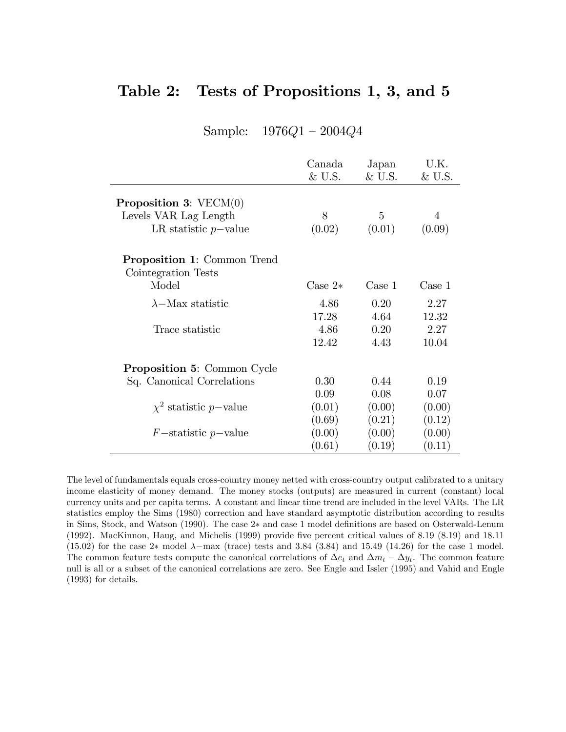## Table 2: Tests of Propositions 1, 3, and 5

|  | Sample: | 1976Q1 | 2004Q4 |
|--|---------|--------|--------|
|--|---------|--------|--------|

|                                                           | Canada<br>&U.S. | Japan<br>&U.S. | U.K.<br>&U.S. |
|-----------------------------------------------------------|-----------------|----------------|---------------|
| <b>Proposition 3:</b> $VECM(0)$                           |                 |                |               |
| Levels VAR Lag Length                                     | 8               | 5              | 4             |
| LR statistic $p$ -value                                   | (0.02)          | (0.01)         | (0.09)        |
| <b>Proposition 1:</b> Common Trend<br>Cointegration Tests |                 |                |               |
| Model                                                     | Case $2*$       | Case 1         | Case 1        |
| $\lambda$ -Max statistic                                  | 4.86            | 0.20           | 2.27          |
|                                                           | 17.28           | 4.64           | 12.32         |
| Trace statistic                                           | 4.86            | 0.20           | 2.27          |
|                                                           | 12.42           | 4.43           | 10.04         |
| <b>Proposition 5: Common Cycle</b>                        |                 |                |               |
| Sq. Canonical Correlations                                | 0.30            | 0.44           | 0.19          |
|                                                           | 0.09            | 0.08           | 0.07          |
| $\chi^2$ statistic p-value                                | (0.01)          | (0.00)         | (0.00)        |
|                                                           | (0.69)          | (0.21)         | (0.12)        |
| $F$ -statistic p-value                                    | (0.00)          | (0.00)         | (0.00)        |
|                                                           | (0.61)          | (0.19)         | (0.11)        |

The level of fundamentals equals cross-country money netted with cross-country output calibrated to a unitary income elasticity of money demand. The money stocks (outputs) are measured in current (constant) local currency units and per capita terms. A constant and linear time trend are included in the level VARs. The LR statistics employ the Sims (1980) correction and have standard asymptotic distribution according to results in Sims, Stock, and Watson (1990). The case 2<sup>\*</sup> and case 1 model definitions are based on Osterwald-Lenum (1992). MacKinnon, Haug, and Michelis (1999) provide five percent critical values of 8.19 (8.19) and 18.11 (15.02) for the case 2\* model  $\lambda$ -max (trace) tests and 3.84 (3.84) and 15.49 (14.26) for the case 1 model. The common feature tests compute the canonical correlations of  $\Delta e_t$  and  $\Delta m_t - \Delta y_t$ . The common feature null is all or a subset of the canonical correlations are zero. See Engle and Issler (1995) and Vahid and Engle (1993) for details.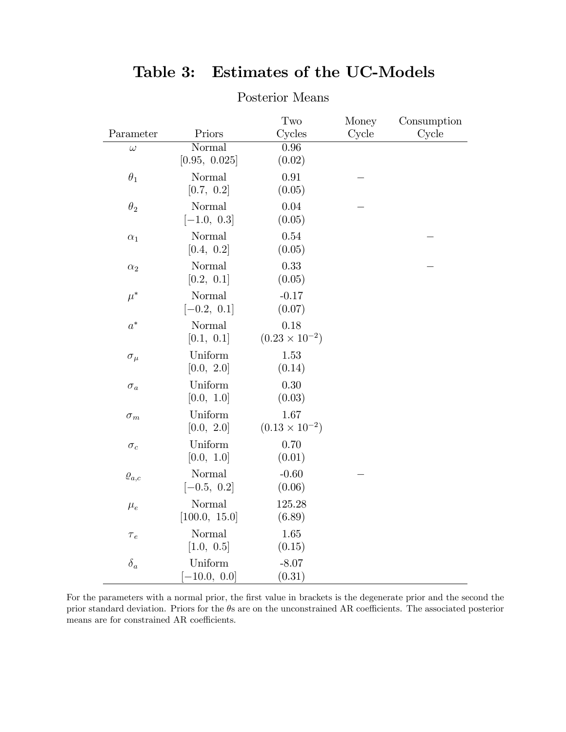|                       |                  | Two                         | Money | Consumption |
|-----------------------|------------------|-----------------------------|-------|-------------|
| Parameter<br>$\omega$ | Priors<br>Normal | Cycles<br>$\overline{0.96}$ | Cycle | Cycle       |
|                       | [0.95, 0.025]    | (0.02)                      |       |             |
| $\theta_1$            | Normal           | 0.91                        |       |             |
|                       | [0.7, 0.2]       | (0.05)                      |       |             |
| $\theta_2$            | Normal           | 0.04                        |       |             |
|                       | $[-1.0, 0.3]$    | (0.05)                      |       |             |
| $\alpha_1$            | Normal           | 0.54                        |       |             |
|                       | [0.4, 0.2]       | (0.05)                      |       |             |
| $\alpha_2$            | Normal           | 0.33                        |       |             |
|                       | [0.2, 0.1]       | (0.05)                      |       |             |
| $\mu^*$               | Normal           | $-0.17$                     |       |             |
|                       | $[-0.2, 0.1]$    | (0.07)                      |       |             |
| $a^*$                 | Normal           | 0.18                        |       |             |
|                       | [0.1, 0.1]       | $(0.23 \times 10^{-2})$     |       |             |
| $\sigma_{\mu}$        | Uniform          | 1.53                        |       |             |
|                       | [0.0, 2.0]       | (0.14)                      |       |             |
| $\sigma_a$            | Uniform          | 0.30                        |       |             |
|                       | [0.0, 1.0]       | (0.03)                      |       |             |
| $\sigma_m$            | Uniform          | 1.67                        |       |             |
|                       | [0.0, 2.0]       | $(0.13 \times 10^{-2})$     |       |             |
| $\sigma_c$            | Uniform          | 0.70                        |       |             |
|                       | [0.0, 1.0]       | (0.01)                      |       |             |
| $\varrho_{a,c}$       | Normal           | $-0.60$                     |       |             |
|                       | $[-0.5, 0.2]$    | (0.06)                      |       |             |
| $\mu_e$               | Normal           | 125.28                      |       |             |
|                       | [100.0, 15.0]    | (6.89)                      |       |             |
| $\tau_e$              | Normal           | $1.65\,$                    |       |             |
|                       | [1.0, 0.5]       | (0.15)                      |       |             |
| $\delta_a$            | Uniform          | $-8.07$                     |       |             |
|                       | $-10.0, 0.0]$    | (0.31)                      |       |             |

## Table 3: Estimates of the UC-Models

Posterior Means

For the parameters with a normal prior, the first value in brackets is the degenerate prior and the second the prior standard deviation. Priors for the  $\theta$ s are on the unconstrained AR coefficients. The associated posterior means are for constrained AR coefficients.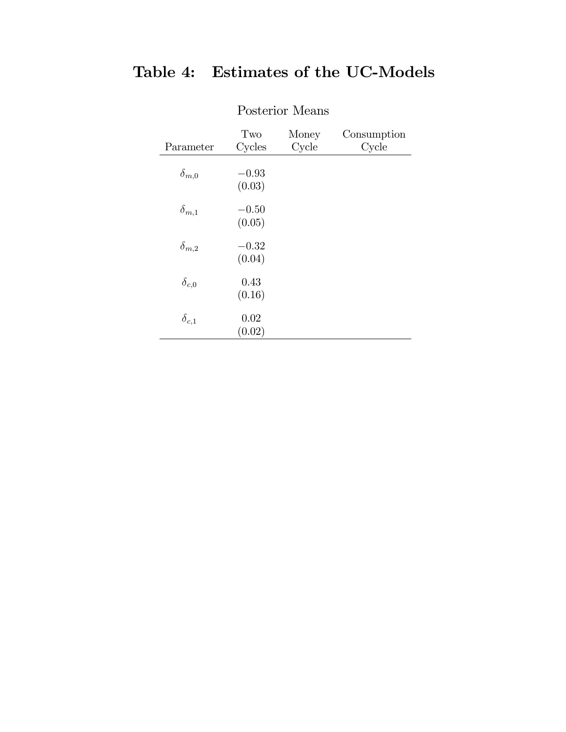| Parameter      | Two<br>Cycles     | Money<br>Cycle | Consumption<br>Cycle |
|----------------|-------------------|----------------|----------------------|
| $\delta_{m,0}$ | $-0.93$<br>(0.03) |                |                      |
| $\delta_{m,1}$ | $-0.50$<br>(0.05) |                |                      |
| $\delta_{m,2}$ | $-0.32$<br>(0.04) |                |                      |
| $\delta_{c,0}$ | 0.43<br>(0.16)    |                |                      |
| $\delta_{c,1}$ | 0.02<br>(0.02)    |                |                      |

# Table 4: Estimates of the UC-Models

Posterior Means